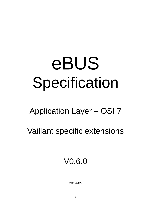# eBUS Specification

## Application Layer – OSI 7

Vaillant specific extensions

V0.6.0

2014-05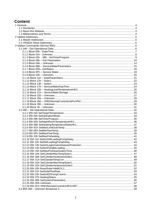## **Content**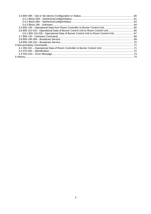| 3.6 B5h 11h 01h - Operational Data of Burner Control Unit to Room Control Unit66 |  |
|----------------------------------------------------------------------------------|--|
| 3.6.1 B5h 11h 02h - Operational Data of Burner Control Unit to Room Control Unit |  |
|                                                                                  |  |
|                                                                                  |  |
|                                                                                  |  |
|                                                                                  |  |
|                                                                                  |  |
|                                                                                  |  |
|                                                                                  |  |
|                                                                                  |  |
|                                                                                  |  |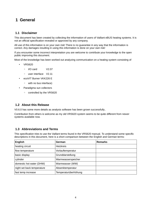## **1 General**

#### **1.1 Disclaimer**

This document has been created by collecting the information of users of Vaillant eBUS heating systems. It is not an official specification revealed or approved by any company.

All use of this information is on your own risk! There is no guarantee in any way that the information is correct. Any damages resulting in using this information is done on your own risk!

If you encounter some incorrect interpretation you are welcome to contribute your knowledge to the open public improving this document.

Most of the knowledge has been worked out analyzing communication on a heating system consisting of

- VRS620
	- I/O card V2.07
	- user interface V2.11
- ecoVIT Burner VKK226 E
	- with no bus interface)
- Paradigma sun collectors
	- controlled by the VRS620

#### **1.2 About this Release**

V0.6.0 has some more details as analysis software has been grown successfully..

Contribution from others is welcome as my old VRS620 system seems to be quite different from newer systems available now.

#### **1.3 Abbreviations and Terms**

This specification tries to use the Vaillant terms found in the VRS620 manual. To understand some specific descriptions in this document, here is a short comparison between the English and German terms:

| English                    | German               | <b>Remarks</b> |
|----------------------------|----------------------|----------------|
| heating circuit            | Heizkreis            |                |
| flow temperature           | Vorlauftemperatur    |                |
| basic display              | Grunddarstellung     |                |
| cylinder                   | Warmwasserspeicher   |                |
| domestic hot water (DHW)   | Warmwasser (WW)      |                |
| night set back temperature | Absenktemperatur     |                |
| fast temp increase         | Temperaturüberhöhung |                |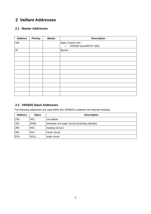## **2 Vaillant Addresses**

#### **2.1 Master Addresses**

| <b>Address</b> | <b>Priority</b> | <b>Master</b> | <b>Description</b>                                        |
|----------------|-----------------|---------------|-----------------------------------------------------------|
| 10h            |                 |               | Main Control Unit:<br>VRS620 (auroMATIC 620)<br>$\bullet$ |
| 3F             |                 |               | <b>Burner</b>                                             |
|                |                 |               |                                                           |
|                |                 |               |                                                           |
|                |                 |               |                                                           |
|                |                 |               |                                                           |
|                |                 |               |                                                           |
|                |                 |               |                                                           |
|                |                 |               |                                                           |
|                |                 |               |                                                           |
|                |                 |               |                                                           |
|                |                 |               |                                                           |

#### **2.2 VRS620 Slave Addresses**

The following addresses are used within the VRS620 to address the internal modules:

| <b>Address</b> | <b>Slave</b>     | <b>Description</b>                              |
|----------------|------------------|-------------------------------------------------|
| 23h            | HK1              | circulation                                     |
| 25h            | <b>DHW</b>       | domestic hot water circuit (including cylinder) |
| 26h            | HK1              | heating circuit 1                               |
| 50h            | HK1              | mixer circuit                                   |
| <b>ECh</b>     | SOL <sub>1</sub> | solar circuit                                   |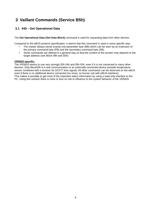## **3 Vaillant Commands (Service B5h)**

#### **3.1 04h - Get Operational Data**

The **Get Operational Data (Get Data Block)** command is used for requesting data from other devices.

Compared to the eBUS protocol specification, it seems that this command is used in some specific way:

- The master always sends exactly one parameter byte (M6) which can be seen as an extension of the primary command byte (PB) and the secondary command byte (SB).
- Some commands are defined in a general way so that the content of the answer may depend on the target address (see Block 09h and 0Dh)

#### **VRS620 specific:**

The VRS620 seems to use very strongly 05h 04h and 05h 05h, even if it is not connected to many other devices: Only Block00h is a real communication to an externally connected device (outside temperature sensor combined with a receiver for DCF77 time signal). All other commands can be observed on the eBUS even if there is no additional device connected (no mixer, no burner unit with eBUS-interface). This makes it possible to get most of the important status information by using a read-only interface to the PC. Using this solution there is more or less no risk to influence to the system behavior of the VRS620.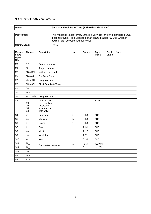## **3.1.1 Block 00h - Date/Time**

| Name:                                   |                          | Get Data Block Date/Time (B5h 04h - Block 00h)                             |                                                                                                                                                                                  |           |                        |                       |             |  |  |  |
|-----------------------------------------|--------------------------|----------------------------------------------------------------------------|----------------------------------------------------------------------------------------------------------------------------------------------------------------------------------|-----------|------------------------|-----------------------|-------------|--|--|--|
| <b>Description:</b>                     |                          |                                                                            | This message is sent every 30s. It is very similar to the standard eBUS<br>message "Date/Time Message of an eBUS Master (07 00), which in<br>addition can be observed every 60s. |           |                        |                       |             |  |  |  |
| Comm. Load:                             |                          | 1/30s                                                                      |                                                                                                                                                                                  |           |                        |                       |             |  |  |  |
| Master/<br><b>Slave</b><br>Byte-<br>No. | Abbrev.                  | <b>Description</b>                                                         | Unit                                                                                                                                                                             | Range     | <b>Type/</b><br>[Res.] | Repl.<br><b>Value</b> | <b>Note</b> |  |  |  |
| M1                                      | QQ                       | Source address                                                             |                                                                                                                                                                                  |           |                        |                       |             |  |  |  |
| M <sub>2</sub>                          | ZZ                       | Target address                                                             |                                                                                                                                                                                  |           |                        |                       |             |  |  |  |
| M3                                      | $PB = B5h$               | Vaillant command                                                           |                                                                                                                                                                                  |           |                        |                       |             |  |  |  |
| M4                                      | $SB = 04h$               | <b>Get Data Block</b>                                                      |                                                                                                                                                                                  |           |                        |                       |             |  |  |  |
| M <sub>5</sub>                          | $NN = 01h$               | Length of data                                                             |                                                                                                                                                                                  |           |                        |                       |             |  |  |  |
| M <sub>6</sub>                          | $DB = 00h$               | Block 00h (Date/Time)                                                      |                                                                                                                                                                                  |           |                        |                       |             |  |  |  |
| M7                                      | <b>CRC</b>               |                                                                            |                                                                                                                                                                                  |           |                        |                       |             |  |  |  |
| S <sub>1</sub>                          | <b>ACK</b>               |                                                                            |                                                                                                                                                                                  |           |                        |                       |             |  |  |  |
| S <sub>2</sub>                          | $NN = 0$ Ah              | Length of data                                                             |                                                                                                                                                                                  |           |                        |                       |             |  |  |  |
| S <sub>3</sub>                          | 00h<br>01h<br>02h<br>03h | DCF77 status:<br>no receiption<br>receiption<br>synchronized<br>data valid |                                                                                                                                                                                  |           | <b>BYTE</b>            |                       |             |  |  |  |
| S4                                      | SS                       | Seconds                                                                    | $\mathsf s$                                                                                                                                                                      | 0.59      | <b>BCD</b>             |                       |             |  |  |  |
| S <sub>5</sub>                          | min                      | <b>Minutes</b>                                                             | m                                                                                                                                                                                | 0.59      | <b>BCD</b>             |                       |             |  |  |  |
| S <sub>6</sub>                          | hh                       | Hours                                                                      | h                                                                                                                                                                                | 0.59      | <b>BCD</b>             |                       |             |  |  |  |
| S7                                      | dd                       | Day                                                                        |                                                                                                                                                                                  | 131       | <b>BCD</b>             |                       |             |  |  |  |
| S <sub>8</sub>                          | mm                       | Month                                                                      |                                                                                                                                                                                  | 1.12      | <b>BCD</b>             |                       |             |  |  |  |
| S9                                      | <b>WW</b>                | Weekday                                                                    |                                                                                                                                                                                  | 17        | <b>BCD</b>             |                       |             |  |  |  |
| S <sub>10</sub>                         | уу                       | Year                                                                       |                                                                                                                                                                                  | 0.99      | <b>BCD</b>             |                       |             |  |  |  |
| S <sub>11</sub>                         | $TA_L$                   |                                                                            | $^{\circ}{\rm C}$                                                                                                                                                                | $-50,0 -$ | DATA2b                 |                       |             |  |  |  |
| S <sub>12</sub>                         | TA_H                     | Outside temperature                                                        |                                                                                                                                                                                  | 50,0      | $[1/256]$              |                       |             |  |  |  |
| S <sub>13</sub>                         | <b>CRC</b>               |                                                                            |                                                                                                                                                                                  |           |                        |                       |             |  |  |  |
| M8                                      | <b>ACK</b>               |                                                                            |                                                                                                                                                                                  |           |                        |                       |             |  |  |  |
| M9                                      | SYN                      |                                                                            |                                                                                                                                                                                  |           |                        |                       |             |  |  |  |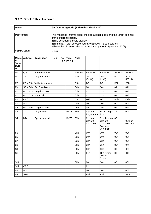## **3.1.2 Block 01h - Unknown**

| Name:        | GetOperatingMode (B5h 04h - Block 01h)                                  |
|--------------|-------------------------------------------------------------------------|
|              |                                                                         |
| Description: | This message informs about the operational mode and the target settings |
|              | of the different circuits.                                              |
|              | 26h is sent during basic display                                        |
|              | 25h and ECh can be observed at VRS620 in "Betriebsarten"                |
|              | 25h can be observed also at Grunddaten page 5 "Speichersoll" (?)        |
| Comm. Load:  | 1/2∩≤                                                                   |

| Maste<br>rl<br><b>Slave</b><br>Byte-<br>No. | Abbrev.    | <b>Description</b>        | Unit        | Ra<br>nge | <b>Type/</b><br>[Res.] | <b>Note</b>      |                                  |                                                                 |                  |                       |
|---------------------------------------------|------------|---------------------------|-------------|-----------|------------------------|------------------|----------------------------------|-----------------------------------------------------------------|------------------|-----------------------|
| M1                                          | QQ         | Source address            |             |           |                        | <b>VRS620</b>    | <b>VRS620</b>                    | <b>VRS620</b>                                                   | <b>VRS620</b>    | <b>VRS620</b>         |
| M <sub>2</sub>                              | ZZ         | Target address            |             |           |                        | 23h              | 25h<br>(DHW)                     | 26h<br>(HK1)                                                    | 50h              | ECh<br>(KOL1)         |
| M <sub>3</sub>                              | $PB = BBh$ | Vaillant command          |             |           |                        | B <sub>5</sub> h | B <sub>5</sub> h                 | B <sub>5</sub> h                                                | B <sub>5</sub> h | B <sub>5</sub> h      |
| M4                                          | $SB = 04h$ | <b>Get Data Block</b>     |             |           |                        | 04h              | 04h                              | 04h                                                             | 04h              | 04h                   |
| M <sub>5</sub>                              |            | $NN = 01h$ Length of data |             |           |                        | 01h              | 01h                              | 01h                                                             | 01h              | 01h                   |
| M <sub>6</sub>                              | $DB = 01h$ | Block 01h                 |             |           |                        | 01h              | 01h                              | 01h                                                             | 01h              | 01h                   |
| M7                                          | <b>CRC</b> |                           |             |           |                        | C <sub>6</sub> h | D <sub>2</sub> h                 | D <sub>8</sub> h                                                | FEh              | C9h                   |
| S <sub>1</sub>                              | <b>ACK</b> |                           |             |           |                        | 00h              | 00h                              | 00h                                                             | 00h              | 00h                   |
| S <sub>2</sub>                              |            | $NN = 09h$ Length of data |             |           |                        | 09h              | 09h                              | 09h                                                             | 09h              | 09h                   |
| S <sub>3</sub>                              | TV         | Target value              | $^{\circ}C$ |           | <b>BYTE</b>            | 14h              | Cylinder<br>target temp          | Room target<br>temp                                             | 14h              | 00h                   |
| S <sub>4</sub>                              | <b>MD</b>  | Operating mode            |             |           | <b>BYTE</b>            | 03h              | 01h: on<br>02h: off<br>03h: auto | 01h: heating<br>02h: off<br>03h: auto<br>04h: eco<br>05h: night | 03h              | 02h: off<br>03h: auto |
| S <sub>5</sub>                              |            |                           |             |           |                        | 00h              | 00h                              | 00h                                                             | 00h              | 00h                   |
| S <sub>6</sub>                              |            |                           |             |           |                        | 00h              | 00h                              | 00h                                                             | 00h              | 00h                   |
| S7                                          |            |                           |             |           |                        | 02h              | 02h                              | 02h                                                             | 05h              | 02h                   |
| S <sub>8</sub>                              |            |                           |             |           |                        | 06h              | 03h                              | 05h                                                             | 80h              | 07h                   |
| S9                                          |            |                           |             |           |                        | 00h              | 00h                              | 00h                                                             | 00h              | 00h                   |
| S <sub>10</sub>                             |            |                           |             |           |                        | 00h              | 01h                              | HK1 Timer<br>00h off<br>01h on                                  | 00h              | 01h                   |
| S <sub>11</sub>                             |            |                           |             |           |                        | 00h              | 00h                              | 00h                                                             | 00h              | 00h                   |
| S <sub>12</sub>                             | <b>CRC</b> |                           |             |           |                        |                  | 92h                              |                                                                 |                  |                       |
| M <sub>8</sub>                              | <b>ACK</b> |                           |             |           |                        |                  | 00h                              | 00h                                                             |                  | 00h                   |
| M <sub>9</sub>                              | <b>SYN</b> |                           |             |           |                        |                  | AAh                              | AAh                                                             |                  | AAh                   |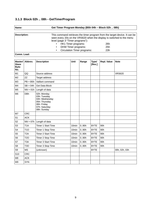## **3.1.3 Block 02h .. 08h - GetTimerProgram**

| Name:               | Get Timer Program Monday (B5h 04h – Block 02h  08h)                                                                                                                                     |     |
|---------------------|-----------------------------------------------------------------------------------------------------------------------------------------------------------------------------------------|-----|
|                     |                                                                                                                                                                                         |     |
| <b>Description:</b> | This command retrieves the timer program from the target device. It can be<br>seen every 20s on the VRS620 when the display is switched to the menu<br>level (page 3 "Timer programs"): |     |
|                     | HK1 Timer programs:                                                                                                                                                                     | 26h |
|                     | <b>DHW Timer programs:</b>                                                                                                                                                              | 25h |
|                     | <b>Circulation Timer programs:</b><br>$\bullet$                                                                                                                                         | 23h |
| Comm. Load:         |                                                                                                                                                                                         |     |

| Master/<br><b>Slave</b><br>Byte-<br>No. | Abbrev.          | <b>Description</b>                                                                                            | Unit              | Range | <b>Type/</b><br>[Res.] | Repl. Value | <b>Note</b>   |
|-----------------------------------------|------------------|---------------------------------------------------------------------------------------------------------------|-------------------|-------|------------------------|-------------|---------------|
| M1                                      | QQ               | Source address                                                                                                |                   |       |                        |             | <b>VRS620</b> |
| M <sub>2</sub>                          | ZZ               | Target address                                                                                                |                   |       |                        |             |               |
| M <sub>3</sub>                          | $PB = B5h$       | Vaillant command                                                                                              |                   |       |                        |             |               |
| M4                                      | $SB = 04h$       | <b>Get Data Block</b>                                                                                         |                   |       |                        |             |               |
| M <sub>5</sub>                          | $NN = 01h$       | Length of data                                                                                                |                   |       |                        |             |               |
| M <sub>6</sub>                          | <b>DBh</b>       | 02h: Monday<br>03h: Tuesday<br>04h: Wednesday<br>05h: Thursday<br>06h: Friday<br>07h: Saturday<br>08h: Sunday |                   |       |                        |             |               |
| M7                                      | <b>CRC</b>       |                                                                                                               |                   |       |                        |             |               |
| S <sub>1</sub>                          | <b>ACK</b>       |                                                                                                               |                   |       |                        |             |               |
| S <sub>2</sub>                          | $NN = 07h$       | Length of data                                                                                                |                   |       |                        |             |               |
| S <sub>3</sub>                          | T <sub>1</sub> A | Timer 1 Start Time                                                                                            | 10 <sub>min</sub> | 0.90h | <b>BYTE</b>            | 90h         |               |
| S4                                      | <b>T10</b>       | Timer 1 Stop Time                                                                                             | 10 <sub>min</sub> | 0.90h | <b>BYTE</b>            | 90h         |               |
| S <sub>5</sub>                          | T <sub>2</sub> A | <b>Timer 2 Start Time</b>                                                                                     | 10min             | 0.90h | <b>BYTE</b>            | 90h         |               |
| S <sub>6</sub>                          | <b>T2O</b>       | Timer 2 Stop Time                                                                                             | 10 <sub>min</sub> | 0.90h | <b>BYTE</b>            | 90h         |               |
| S7                                      | T <sub>3</sub> A | <b>Timer 3 Start Time</b>                                                                                     | 10 <sub>min</sub> | 0.90h | <b>BYTE</b>            | 90h         |               |
| S <sub>8</sub>                          | T <sub>3</sub> O | Timer 3 Stop Time                                                                                             | 10min             | 0.90h | <b>BYTE</b>            | 90h         |               |
| S9                                      | <b>MS</b>        | (unknown)                                                                                                     |                   |       | <b>BYTE</b>            |             | 00h, 02h, 03h |
| S <sub>10</sub>                         | <b>CRC</b>       |                                                                                                               |                   |       |                        |             |               |
| M <sub>8</sub>                          | <b>ACK</b>       |                                                                                                               |                   |       |                        |             |               |
| M <sub>9</sub>                          | <b>SYN</b>       |                                                                                                               |                   |       |                        |             |               |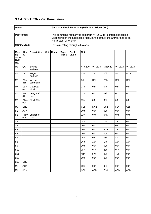## **3.1.4 Block 09h – Get Parameters**

| Name:        | Get Data Block Unknown (B5h 04h - Block 09h)                                                                                                                            |
|--------------|-------------------------------------------------------------------------------------------------------------------------------------------------------------------------|
|              |                                                                                                                                                                         |
| Description: | This command regularly is sent from VRS620 to its internal modules.<br>Depending on the addressed Module, the data of the answer has to be<br>interpreted, differently. |
| Comm. Load:  | 1/10s (iterating through all slaves)                                                                                                                                    |

| <b>Mast</b><br>er/<br><b>Slave</b><br>Byte-<br>No. | Abbr<br>ev.                | <b>Description</b>              | Unit Range | <b>Type/</b><br>[Res.] | Repl.<br>Value | <b>Note</b>      |                  |                  |                  |               |
|----------------------------------------------------|----------------------------|---------------------------------|------------|------------------------|----------------|------------------|------------------|------------------|------------------|---------------|
| M1                                                 | QQ                         | Source<br>address               |            |                        |                | <b>VRS620</b>    | <b>VRS620</b>    | <b>VRS620</b>    | <b>VRS620</b>    | <b>VRS620</b> |
| M <sub>2</sub>                                     | ZZ                         | Target<br>address               |            |                        |                | 23h              | 25h              | 26h              | 50h              | ECh           |
| M <sub>3</sub>                                     | $PB =$<br>B <sub>5</sub> h | Vaillant<br>command             |            |                        |                | B <sub>5</sub> h | B <sub>5</sub> h | B <sub>5</sub> h | B <sub>5</sub> h | B5h           |
| M <sub>4</sub>                                     | $SB =$<br>04h              | <b>Get Data</b><br><b>Block</b> |            |                        |                | 04h              | 04h              | 04h              | 04h              | 04h           |
| M <sub>5</sub>                                     | $NN =$<br>01h              | Length of<br>data               |            |                        |                | 01h              | 01h              | 01h              | 01h              | 01h           |
| M <sub>6</sub>                                     | $DB =$<br>09h              | Block 09h                       |            |                        |                | 09h              | 09h              | 09h              | 09h              | 09h           |
| M7                                                 | CRC                        |                                 |            |                        |                | CEh              | DAh              | D <sub>0</sub> h | F6h              | C1h           |
| S1                                                 | <b>ACK</b>                 |                                 |            |                        |                | 00h              | 00h              | 00h              | 00h              | 00h           |
| S <sub>2</sub>                                     | $NN =$<br>0Ah              | Length of<br>data               |            |                        |                | 0Ah              | 0Ah              | 0Ah              | 0Ah              | 0Ah           |
| S <sub>3</sub>                                     |                            |                                 |            |                        |                | 14h              | 37h              | 19h              | 14h              | 00h           |
| S <sub>4</sub>                                     |                            |                                 |            |                        |                | 00h              | 00h              | 11h              | 0Fh              | 00h           |
| S <sub>5</sub>                                     |                            |                                 |            |                        |                | 00h              | 00h              | 3Ch              | 78h              | 00h           |
| S <sub>6</sub>                                     |                            |                                 |            |                        |                | 00h              | 00h              | 00h              | 00h              | 00h           |
| S7                                                 |                            |                                 |            |                        |                | 06h              | 03h              | 05h              | 80h              | 07h           |
| S <sub>8</sub>                                     |                            |                                 |            |                        |                | 16h              | 16h              | 14h              | 16h              | 16h           |
| S9                                                 |                            |                                 |            |                        |                | 00h              | 00h              | 00h              | 00h              | 00h           |
| S <sub>10</sub>                                    |                            |                                 |            |                        |                | 0Fh              | 0Fh              | 23h              | 0Fh              | 00h           |
| S <sub>11</sub>                                    |                            |                                 |            |                        |                | 4Bh              | 5Ah              | 28h              | 4Bh              | 00h           |
| S <sub>12</sub>                                    |                            |                                 |            |                        |                | 00h              | 00h              | 00h              | 00h              | 00h           |
| S <sub>13</sub>                                    | <b>CRC</b>                 |                                 |            |                        |                |                  |                  |                  |                  |               |
| M <sub>8</sub>                                     | <b>ACK</b>                 |                                 |            |                        |                | 00h              | 00h              | 00h              | 00h              | 00h           |
| M <sub>9</sub>                                     | <b>SYN</b>                 |                                 |            |                        |                | AAh              | AAh              | AAh              | AAh              | AAh           |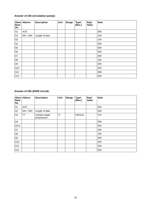#### **Answer of 23h (circulation pump):**

| Byte-<br>No.   | Slave Abbrev. | <b>Description</b> | Unit | Range | <b>Type/</b><br>[Res.] | Repl.<br>Value | <b>Note</b> |
|----------------|---------------|--------------------|------|-------|------------------------|----------------|-------------|
| S1             | <b>ACK</b>    |                    |      |       |                        |                | 00h         |
| S <sub>2</sub> | $NN = 0$ Ah   | Length of data     |      |       |                        |                | 0Ah         |
| S <sub>3</sub> |               |                    |      |       |                        |                | 14h         |
| S4             |               |                    |      |       |                        |                | 00h         |
| S <sub>5</sub> |               |                    |      |       |                        |                | 00h         |
| S <sub>6</sub> |               |                    |      |       |                        |                | 00h         |
| S7             |               |                    |      |       |                        |                | 06h         |
| S <sub>8</sub> |               |                    |      |       |                        |                | 16h         |
| S9             |               |                    |      |       |                        |                | 00h         |
| <b>S10</b>     |               |                    |      |       |                        |                | 0Fh         |
| <b>S11</b>     |               |                    |      |       |                        |                | 4Bh         |
| <b>S12</b>     |               |                    |      |       |                        |                | 00h         |

#### **Answer of 25h (DHW circuit):**

| <b>Slave</b><br>Byte-<br>No. | Abbrev.     | <b>Description</b>             | Unit        | Range | <b>Type/</b><br>[Res.] | Repl.<br>Value | <b>Note</b> |
|------------------------------|-------------|--------------------------------|-------------|-------|------------------------|----------------|-------------|
| S1                           | <b>ACK</b>  |                                |             |       |                        |                | 00h         |
| S <sub>2</sub>               | $NN = 0$ Ah | Length of data                 |             |       |                        |                | 0Ah         |
| S <sub>3</sub>               | TT          | Cylinder target<br>temperature | $^{\circ}C$ |       | DATA1b                 |                | 37h         |
| S <sub>4</sub>               |             |                                |             |       |                        |                | 00h         |
| $S5-6$                       |             |                                |             |       |                        |                | 00h         |
| S7                           |             |                                |             |       |                        |                | 03h         |
| S8                           |             |                                |             |       |                        |                | 16h         |
| S9                           |             |                                |             |       |                        |                | 00h         |
| S <sub>10</sub>              |             |                                |             |       |                        |                | 0Fh         |
| S <sub>11</sub>              |             |                                |             |       |                        |                | 5Ah         |
| S <sub>12</sub>              |             |                                |             |       |                        |                | 00h         |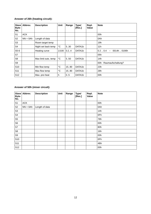#### **Answer of 26h (heating circuit):**

| <b>Slave</b><br>Byte-<br>No. | Abbrev.     | <b>Description</b>   | Unit         | Range | <b>Type/</b><br>[Res.] | Repl.<br>Value | <b>Note</b>                             |
|------------------------------|-------------|----------------------|--------------|-------|------------------------|----------------|-----------------------------------------|
| S <sub>1</sub>               | <b>ACK</b>  |                      |              |       |                        |                | 00h                                     |
| S <sub>2</sub>               | $NN = 0$ Ah | Length of data       |              |       |                        |                | 0Ah                                     |
| S <sub>3</sub>               |             | Room target temp     |              |       |                        |                | 19h                                     |
| S <sub>4</sub>               |             | Night set back temp  | $^{\circ}C$  | 5.30  | DATA1b                 |                | 11 <sub>h</sub>                         |
| $S5-6$                       |             | Heating curve        | 1/100        | 0.24  | DATA1b                 |                | 0014h  0190h<br>0.20.4<br>$\rightarrow$ |
| S7                           |             |                      |              |       |                        |                | 05h                                     |
| S <sub>8</sub>               |             | Max limit outs, temp | $^{\circ}$ C | 5.50  | DATA1b                 |                | 14h                                     |
| S9                           |             |                      |              |       |                        |                | 00h<br>Raumaufschaltung?                |
| S <sub>10</sub>              |             | Min flow temp        | $^{\circ}C$  | 15.90 | DATA1b                 |                | 23h                                     |
| S <sub>11</sub>              |             | Max flow temp        | $^{\circ}C$  | 15.90 | DATA1b                 |                | 28h                                     |
| S <sub>12</sub>              |             | Max. pre-heat        | h            | 0.5   | DATA1b                 |                | 00h                                     |

#### **Answer of 50h (mixer circuit):**

| Byte-<br>No.    | Slave Abbrev. | <b>Description</b> | Unit | Range | <b>Type/</b><br>[Res.] | Repl.<br>Value | <b>Note</b> |
|-----------------|---------------|--------------------|------|-------|------------------------|----------------|-------------|
| S1              | <b>ACK</b>    |                    |      |       |                        |                | 00h         |
| S <sub>2</sub>  | $NN = 0$ Ah   | Length of data     |      |       |                        |                | 0Ah         |
| S <sub>3</sub>  |               |                    |      |       |                        |                | 14h         |
| S4              |               |                    |      |       |                        |                | 0Fh         |
| S <sub>5</sub>  |               |                    |      |       |                        |                | 78h         |
| S <sub>6</sub>  |               |                    |      |       |                        |                | 00h         |
| S7              |               |                    |      |       |                        |                | 80h         |
| S8              |               |                    |      |       |                        |                | 16h         |
| S9              |               |                    |      |       |                        |                | 00h         |
| <b>S10</b>      |               |                    |      |       |                        |                | 0Fh         |
| S <sub>11</sub> |               |                    |      |       |                        |                | 4Bh         |
| <b>S12</b>      |               |                    |      |       |                        |                | 00h         |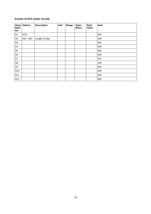#### **Answer of ECh (solar circuit):**

| Byte-<br>No.   | Slave Abbrev. | <b>Description</b> | Unit | Range | <b>Type/</b><br>[Res.] | Repl.<br>Value | <b>Note</b> |
|----------------|---------------|--------------------|------|-------|------------------------|----------------|-------------|
| S1             | <b>ACK</b>    |                    |      |       |                        |                | 00h         |
| S <sub>2</sub> | $NN = 0$ Ah   | Length of data     |      |       |                        |                | 0Ah         |
| S <sub>3</sub> |               |                    |      |       |                        |                | 00h         |
| S4             |               |                    |      |       |                        |                | 00h         |
| S <sub>5</sub> |               |                    |      |       |                        |                | 00h         |
| S <sub>6</sub> |               |                    |      |       |                        |                | 00h         |
| S7             |               |                    |      |       |                        |                | 07h         |
| S <sub>8</sub> |               |                    |      |       |                        |                | 16h         |
| S9             |               |                    |      |       |                        |                | 00h         |
| <b>S10</b>     |               |                    |      |       |                        |                | 00h         |
| <b>S11</b>     |               |                    |      |       |                        |                | 00h         |
| <b>S12</b>     |               |                    |      |       |                        |                | 00h         |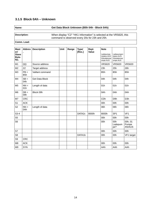## **3.1.5 Block 0Ah – Unknown**

#### **Name: Get Data Block Unknown (B5h 04h - Block 0Ah)**

| Description: | When display "C2" "HK1 Information" is selected at the VRS620, this<br>command is observed every 20s for 23h and 25h. |
|--------------|-----------------------------------------------------------------------------------------------------------------------|
|              |                                                                                                                       |

**Comm. Load:**

| <b>Mast</b><br>er/<br><b>Slave</b><br>Byte-<br>No. | Abbrev                     | <b>Description</b>    | <b>Unit</b> | Range | <b>Type/</b><br>[Res.] | Repl.<br>Value | <b>Note</b><br>Ladepumpe<br>nstatus AUS<br>Zirkulationsp<br>umpe AUS | Ladepumpen<br>status AUS<br>Zirkulationsp<br>umpe AUS |                                   |
|----------------------------------------------------|----------------------------|-----------------------|-------------|-------|------------------------|----------------|----------------------------------------------------------------------|-------------------------------------------------------|-----------------------------------|
| M1                                                 | QQ                         | Source address        |             |       |                        |                | <b>VRS620</b>                                                        | <b>VRS620</b>                                         | <b>VRS620</b>                     |
| M <sub>2</sub>                                     | ZZ                         | Target address        |             |       |                        |                | 23h                                                                  | 25h                                                   | 26h                               |
| M <sub>3</sub>                                     | $PB =$<br>B <sub>5</sub> h | Vaillant command      |             |       |                        |                | B <sub>5</sub> h                                                     | B <sub>5</sub> h                                      | B <sub>5</sub> h                  |
| M4                                                 | $SB =$<br>04h              | <b>Get Data Block</b> |             |       |                        |                | 04h                                                                  | 04h                                                   | 04h                               |
| M <sub>5</sub>                                     | $NN =$<br>01h              | Length of data        |             |       |                        |                | 01h                                                                  | 01h                                                   | 01h                               |
| M <sub>6</sub>                                     | $DB =$<br>09h              | Block 09h             |             |       |                        |                | 0Ah                                                                  | 0Ah                                                   | 0Ah                               |
| M7                                                 | <b>CRC</b>                 |                       |             |       |                        |                | CDh                                                                  | D9h                                                   | D3h                               |
| S1                                                 | <b>ACK</b>                 |                       |             |       |                        |                | 00h                                                                  | 00h                                                   | 00h                               |
| S <sub>2</sub>                                     | $NN =$<br>0Ah              | Length of data        |             |       |                        |                | 06h                                                                  | 06h                                                   | 06h                               |
| $S3-4$                                             |                            |                       |             |       | DATA <sub>2c</sub>     | 8000h          | 8000h                                                                | SP <sub>1</sub>                                       | VF1                               |
| S <sub>5</sub>                                     |                            |                       |             |       |                        |                | 00h                                                                  | 00h                                                   | 00h                               |
| S <sub>6</sub>                                     |                            |                       |             |       |                        |                | 00h                                                                  | 00h<br>Ladepum<br>pe?                                 | 00h, 01<br>Pumpe<br><b>AN/AUS</b> |
| S7                                                 |                            |                       |             |       |                        |                | 00h                                                                  | 00h                                                   | 00h                               |
| S <sub>8</sub>                                     |                            |                       |             |       | DATA1b                 |                | 00h                                                                  | 00h                                                   | VF1 target                        |
| S9                                                 | <b>CRC</b>                 |                       |             |       |                        |                |                                                                      |                                                       |                                   |
| M <sub>8</sub>                                     | <b>ACK</b>                 |                       |             |       |                        |                | 00h                                                                  | 00h                                                   | 00h                               |
| M <sub>9</sub>                                     | <b>SYN</b>                 |                       |             |       |                        |                | AAh                                                                  | AAh                                                   | AAh                               |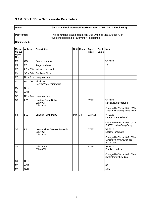#### **3.1.6 Block 0Bh – ServiceWaterParameters**

#### **Name: Get Data Block ServiceWaterParameters (B5h 04h - Block 0Bh)**

**Description:** This command is also sent every 20s when at VRS620 the "C4" "Speicherladekreise Parameter" is selected.

**Comm. Load:**

| <b>Master</b><br>/ Slave<br>Byte-<br>No. | Abbrev.         | <b>Description</b>                                            |     | Unit Range | <b>Type/</b><br>[Res.] | Repl.<br><b>Value</b> | <b>Note</b>                                                                                                   |
|------------------------------------------|-----------------|---------------------------------------------------------------|-----|------------|------------------------|-----------------------|---------------------------------------------------------------------------------------------------------------|
| M1                                       | QQ              | Source address                                                |     |            |                        |                       | <b>VRS620</b>                                                                                                 |
| M <sub>2</sub>                           | <b>ZZ</b>       | Target address                                                |     |            |                        |                       | 25h                                                                                                           |
| M <sub>3</sub>                           | $PB = B5h$      | Vaillant command                                              |     |            |                        |                       |                                                                                                               |
| M4                                       | $SB = 04h$      | <b>Get Data Block</b>                                         |     |            |                        |                       |                                                                                                               |
| M <sub>5</sub>                           |                 | $NN = 01h$ Length of data                                     |     |            |                        |                       |                                                                                                               |
| M <sub>6</sub>                           | $DB = 0Bh$      | <b>Block OBh</b><br><b>ServiceWaterParameters</b>             |     |            |                        |                       |                                                                                                               |
| M7                                       | <b>CRC</b>      |                                                               |     |            |                        |                       |                                                                                                               |
| S1                                       | <b>ACK</b>      |                                                               |     |            |                        |                       |                                                                                                               |
| S <sub>2</sub>                           | $NN = 04h$      | Length of data                                                |     |            |                        |                       |                                                                                                               |
| S <sub>3</sub>                           | LD1             | <b>Loading Pump Delay</b><br>$00h = OFF$<br>$01h = ON$        |     |            | <b>BYTE</b>            |                       | <b>VRS620:</b><br>Nachladeverzögerung<br>Changed by Vaillant 05h 011h<br>SwitchSWLoadingPumpDelay             |
| S <sub>4</sub>                           | LD <sub>2</sub> | Loading Pump Delay                                            | min | $3-9$      | DATA1b                 |                       | <b>VRS620:</b><br>Ladepumpennachlauf<br>Changed by Vaillant 05h 012h<br>SetSWLoadingPumpDelay                 |
| S5                                       | <b>LP</b>       | Legionnaire's Disease Protection<br>$00h = OFF$<br>$01h = ON$ |     |            | <b>BYTE</b>            |                       | <b>VRS620</b><br>Legionellenschutz<br>Changed by Vaillant 05h 013h<br>SwitchLegionnairsDisease-<br>Protection |
| S <sub>6</sub>                           |                 | $00h = OFF$<br>$01h = ON$                                     |     |            | <b>BYTE</b>            |                       | <b>VRS620</b><br>Parallele Ladung<br>Changed by Vaillant 05h 014h<br>SwitchParallelLoading                    |
| S9                                       | <b>CRC</b>      |                                                               |     |            |                        |                       |                                                                                                               |
| M <sub>8</sub>                           | <b>ACK</b>      |                                                               |     |            |                        |                       | 00h                                                                                                           |
| M <sub>9</sub>                           | <b>SYN</b>      |                                                               |     |            |                        |                       | AAh                                                                                                           |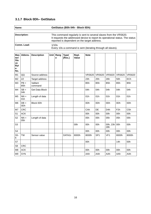## **3.1.7 Block 0Dh– GetStatus**

| Name:        | GetStatus (B5h 04h - Block 0Dh)                                                                                                                                                                    |  |  |  |  |  |
|--------------|----------------------------------------------------------------------------------------------------------------------------------------------------------------------------------------------------|--|--|--|--|--|
|              |                                                                                                                                                                                                    |  |  |  |  |  |
| Description: | This command regularly is sent to several slaves from the VRS620.<br>It requests the addressed device to report its operational status. The status<br>reported is dependent on the target address. |  |  |  |  |  |
| Comm. Load:  | 1/10s<br>Every 10s a command is sent (iterating through all slaves).                                                                                                                               |  |  |  |  |  |

| Mas<br>ter/<br>Sla<br>ve<br><b>Byt</b><br>$e-$<br>No. | Abbrev.                    | <b>Description</b>  | Unit Rang<br>e | <b>Type/</b><br>[Res.] | Repl.<br>Value | <b>Note</b>      |                  |                  |                  |                  |
|-------------------------------------------------------|----------------------------|---------------------|----------------|------------------------|----------------|------------------|------------------|------------------|------------------|------------------|
| M1                                                    | QQ                         | Source address      |                |                        |                | <b>VRS620</b>    | <b>VRS620</b>    | <b>VRS620</b>    | <b>VRS620</b>    | <b>VRS620</b>    |
| M <sub>2</sub>                                        | ZZ                         | Target address      |                |                        |                | 23h              | 25h              | 26h              | 50h              | ECh              |
| M <sub>3</sub>                                        | $PB =$<br>B <sub>5</sub> h | Vaillant<br>command |                |                        |                | B <sub>5</sub> h | B <sub>5</sub> h | B <sub>5</sub> h | B <sub>5</sub> h | B <sub>5</sub> h |
| M4                                                    | $SB =$<br>04h              | Get Data Block      |                |                        |                | 04h              | 04h              | 04h              | 04h              | 04h              |
| M <sub>5</sub>                                        | $NN =$<br>01h              | Length of data      |                |                        |                | 01h              | 01h              | 01h              | 01h              | 01h              |
| M <sub>6</sub>                                        | $DB =$<br>0 <sub>Dh</sub>  | <b>Block ODh</b>    |                |                        |                | 0Dh              | 0Dh              | 0Dh              | 0Dh              | 0Dh              |
| M7                                                    | <b>CRC</b>                 |                     |                |                        |                | CAh              | DE               | D4h              | F <sub>2</sub> h | C <sub>5</sub> h |
| S1                                                    | <b>ACK</b>                 |                     |                |                        |                | 00h              | 00h              | 00h              | 00h              | 00h              |
| S <sub>2</sub>                                        | $NN =$<br>05h              | Length of data      |                |                        |                | 05h              | 05h              | 05h              | 05h              | 05h              |
| S <sub>3</sub>                                        |                            |                     |                |                        | 00h            | 00h              | 00h              | 00h, 23h<br>28h  | 00h              | 00h              |
| S <sub>4</sub>                                        |                            |                     |                |                        |                | 00h              | 00h              | 00h              | 00h              | 00h              |
| S5-<br>6                                              | <b>TW</b>                  | Sensor value        |                | DATA <sub>2c</sub>     | 8000h          | 8000h            | SP <sub>1</sub>  | VF1              | 8000h            | 8000h            |
| S7                                                    |                            |                     |                |                        |                | 00h              |                  |                  | 14h              | 00h              |
| S8                                                    | <b>CRC</b>                 |                     |                |                        |                |                  |                  |                  |                  |                  |
| M8                                                    | <b>ACK</b>                 |                     |                |                        |                | 00h              | 00h              | 00h              | 00h              | 00h              |
| M <sub>9</sub>                                        | <b>SYN</b>                 |                     |                |                        |                | AAh              | AAh              | AAh              | AAh              | AAh              |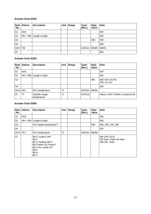#### **Answer from 023h:**

| $B$ yte<br>-No. | Abbrev.    | <b>Description</b>        | Unit | Range | <b>Type/</b><br>[Res.] | Repl.<br>Value | <b>Note</b> |
|-----------------|------------|---------------------------|------|-------|------------------------|----------------|-------------|
| S1              | <b>ACK</b> |                           |      |       |                        |                | 00h         |
| S <sub>2</sub>  |            | $NN = 05h$ Length of data |      |       |                        |                | 05h         |
| S <sub>3</sub>  |            |                           |      |       |                        | 00h            | 00h         |
| S4              |            |                           |      |       |                        |                | 00h         |
| S5-6            | <b>TW</b>  |                           |      |       | DATA2c   8000h   8000h |                |             |
| S7              |            |                           |      |       |                        |                | 00h         |

#### **Answer from 025h:**

| <b>Byte</b><br>-No. | Abbrev.         | <b>Description</b>             | Unit        | Range | <b>Type/</b><br>[Res.] | Repl.<br>Value | <b>Note</b>                          |
|---------------------|-----------------|--------------------------------|-------------|-------|------------------------|----------------|--------------------------------------|
| S1                  | <b>ACK</b>      |                                |             |       |                        |                | 00h                                  |
| S <sub>2</sub>      |                 | $NN = 05h$ Length of data      |             |       |                        |                | 05h                                  |
| S <sub>3</sub>      |                 |                                |             |       |                        | 00h            | 00h: ECO, AUTO<br>23h: on, eco       |
| S <sub>4</sub>      |                 |                                |             |       |                        |                | 00h                                  |
| $S5-6$              | SP <sub>1</sub> | SP1 temperature                | $^{\circ}C$ |       | DATA <sub>2</sub> c    | 8000h          |                                      |
| S7                  | <b>TT</b>       | Cylinder target<br>temperature | $^{\circ}C$ |       | DATA1b                 |                | Value is 00h if DHW is switched off. |

#### **Answer from 026h:**

| <b>Byte</b><br>-No. | Abbrev.         | <b>Description</b>                                                                                                                                               | Unit        | Range | <b>Type/</b><br>[Res.] | Repl.<br><b>Value</b> | <b>Note</b>                                                |
|---------------------|-----------------|------------------------------------------------------------------------------------------------------------------------------------------------------------------|-------------|-------|------------------------|-----------------------|------------------------------------------------------------|
| S <sub>1</sub>      | <b>ACK</b>      |                                                                                                                                                                  |             |       |                        |                       | 00h                                                        |
| S <sub>2</sub>      |                 | $NN = 05h$ Length of data                                                                                                                                        |             |       |                        |                       | 05h                                                        |
| S <sub>3</sub>      |                 | VF1 target temperature?                                                                                                                                          |             |       |                        | 00h                   | 00h, 23h, 24h, 28h                                         |
| S <sub>4</sub>      |                 |                                                                                                                                                                  |             |       |                        |                       | 00h                                                        |
| $S5-6$              | VF <sub>1</sub> | VF1 temperature                                                                                                                                                  | $^{\circ}C$ |       | DATA <sub>2c</sub>     | 8000h                 |                                                            |
| S7                  |                 | Bit 0: system ON?<br><b>Bit 1:</b><br>Bit 2: heating OFF?<br>Bit 3:boiler on (Timer)?<br>Bit 4 circ. pump on?<br><b>Bit 5:</b><br><b>Bit 6:</b><br><b>Bit 7:</b> |             |       |                        |                       | 05h OFF, ECO<br>11h Auto / night set back<br>19h ON, Timer |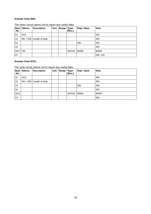#### **Answer from 50h:**

| Byte<br>-No.   | Abbrev.    | <b>Description</b>        | Unit | Range Typel | [Res.]         | <b>Repl. Value</b> | <b>Note</b> |  |  |  |
|----------------|------------|---------------------------|------|-------------|----------------|--------------------|-------------|--|--|--|
| S1             | <b>ACK</b> |                           |      |             |                |                    | 00h         |  |  |  |
| S <sub>2</sub> |            | $NN = 05h$ Length of data |      |             |                |                    | 05h         |  |  |  |
| S <sub>3</sub> |            |                           |      |             |                | 00h                | 00h         |  |  |  |
| S <sub>4</sub> |            |                           |      |             |                |                    | 00h         |  |  |  |
| S5-6           | <b>TW</b>  |                           |      |             | DATA2c   8000h |                    | 8000h       |  |  |  |
| S7             |            |                           |      |             |                |                    | 00h, 14h    |  |  |  |

The mixer circuit seems not to report any useful data:

#### **Answer from ECh:**

The solar circuit seems not to report any useful data:

| <b>Byte</b><br>-No. | Abbrev.    | <b>Description</b>        | Unit | Range | <b>Type/</b><br>[Res.] | Repl. Value | <b>Note</b> |
|---------------------|------------|---------------------------|------|-------|------------------------|-------------|-------------|
| S1                  | <b>ACK</b> |                           |      |       |                        |             | 00h         |
| S <sub>2</sub>      |            | $NN = 05h$ Length of data |      |       |                        |             | 05h         |
| S <sub>3</sub>      |            |                           |      |       |                        | 00h         | 00h         |
| S <sub>4</sub>      |            |                           |      |       |                        |             | 00h         |
| $S5-6$              |            |                           |      |       | DATA2c   8000h         |             | 8000h       |
| S7                  |            |                           |      |       |                        |             | 00h         |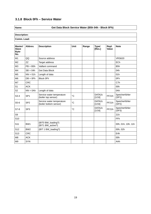## **3.1.8 Block 0Fh – Service Water**

#### **Name: Get Data Block Service Water (B5h 04h - Block 0Fh)**

| Master/<br><b>Slave</b><br>Byte-<br>No. | Abbrev.         | <b>Description</b>                                  | <b>Unit</b>     | Range | <b>Type/</b><br>[Res.]          | Repl.<br><b>Value</b> | <b>Note</b>             |
|-----------------------------------------|-----------------|-----------------------------------------------------|-----------------|-------|---------------------------------|-----------------------|-------------------------|
| M1                                      | QQ              | Source address                                      |                 |       |                                 |                       | <b>VRS620</b>           |
| M <sub>2</sub>                          | ZZ              | Target address                                      |                 |       |                                 |                       | ECh                     |
| M3                                      | $PB = B5h$      | Vaillant command                                    |                 |       |                                 |                       | B <sub>5</sub> h        |
| M4                                      | $SB = 04h$      | <b>Get Data Block</b>                               |                 |       |                                 |                       | 04h                     |
| M <sub>5</sub>                          | $NN = 01h$      | Length of data                                      |                 |       |                                 |                       | 01h                     |
| M6                                      | $DB = 0Fh$      | <b>Block OFh</b>                                    |                 |       |                                 |                       | 0Fh                     |
| M7                                      | <b>CRC</b>      |                                                     |                 |       |                                 |                       | C7h                     |
| S1                                      | <b>ACK</b>      |                                                     |                 |       |                                 |                       | 00h                     |
| S <sub>2</sub>                          | $NN = 0$ Ah     | Length of data                                      |                 |       |                                 |                       | 0Ah                     |
| $S3-4$                                  | SP <sub>1</sub> | Service water temperature<br>(boiler top sensor)    | $\rm ^{\circ}C$ |       | DATA <sub>2</sub> c<br>$[1/16]$ | FF21h                 | Speicherfühler<br>(SP1) |
| $S5-6$                                  | SP <sub>2</sub> | Service water temperature<br>(boiler bottom sensor) | "C              |       | DATA <sub>2c</sub><br>[1/16]    | FF21h                 | Speicherfühler<br>(SP2) |
| $S7-8$                                  | SP <sub>3</sub> |                                                     | $^{\circ}C$     |       | DATA <sub>2c</sub><br>$[1/16]$  | FF21h                 | Speicherfühler<br>(SP3) |
| S9                                      |                 |                                                     |                 |       |                                 |                       | 21h                     |
| S <sub>10</sub>                         |                 |                                                     |                 |       |                                 |                       | <b>FFh</b>              |
| S <sub>11</sub>                         | BW1             | (BITO BW loading?)<br>(BIT1 BW active?)             |                 |       |                                 |                       | 00h, 01h, 10h, 11h      |
| S <sub>12</sub>                         | BW <sub>2</sub> | (BIT 1 BW_loading?)                                 |                 |       |                                 |                       | 00h, 02h                |
| S <sub>13</sub>                         | <b>CRC</b>      |                                                     |                 |       |                                 |                       | E4h                     |
| M <sub>8</sub>                          | <b>ACK</b>      |                                                     |                 |       |                                 |                       | 00h                     |
| M <sub>9</sub>                          | <b>SYN</b>      |                                                     |                 |       |                                 |                       | AAh                     |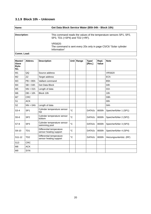#### **3.1.9 Block 10h – Unknown**

| <b>Name:</b> | Get Data Block Service Water (B5h 04h - Block 10h)                                                   |  |  |  |  |
|--------------|------------------------------------------------------------------------------------------------------|--|--|--|--|
|              |                                                                                                      |  |  |  |  |
| Description: | This command reads the values of the temperature sensors SP1, SP2,<br>SP3, TD1 (=SP4) and TD2 (=RF). |  |  |  |  |
|              | VRS620:<br>The command is sent every 20s only in page C5/C6 "Solar cylinder<br>Information"          |  |  |  |  |
| Comm. Load:  |                                                                                                      |  |  |  |  |

| Master/<br><b>Slave</b><br>Byte-<br>No. | Abbrev.         | <b>Description</b>                                 | Unit        | Range | <b>Type/</b><br>[Res.] | Repl.<br><b>Value</b> | <b>Note</b>             |
|-----------------------------------------|-----------------|----------------------------------------------------|-------------|-------|------------------------|-----------------------|-------------------------|
| M1                                      | QQ              | Source address                                     |             |       |                        |                       | <b>VRS620</b>           |
| M <sub>2</sub>                          | ZZ              | Target address                                     |             |       |                        |                       | ECh                     |
| M <sub>3</sub>                          | $PB = B5h$      | Vaillant command                                   |             |       |                        |                       | B <sub>5</sub> h        |
| M4                                      | $SB = 04h$      | <b>Get Data Block</b>                              |             |       |                        |                       | 04h                     |
| M <sub>5</sub>                          | $NN = 01h$      | Length of data                                     |             |       |                        |                       | 01h                     |
| M <sub>6</sub>                          | $DB = 10h$      | Block 10h                                          |             |       |                        |                       | 10h                     |
| M7                                      | <b>CRC</b>      |                                                    |             |       |                        |                       | D <sub>8</sub> h        |
| S1                                      | <b>ACK</b>      |                                                    |             |       |                        |                       | 00h                     |
| S <sub>2</sub>                          | $NN = 0$ Ah     | Length of data                                     |             |       |                        |                       | 0Ah                     |
| $S3-4$                                  | SP <sub>1</sub> | Cylinder tempereture sensor<br>top                 | °C          |       | DATA <sub>2c</sub>     | 8000h                 | Speicherfühler 1 (SP1)  |
| $S5-6$                                  | SP <sub>2</sub> | Cylinder temperature sensor<br>bottom              | "C          |       | DATA <sub>2c</sub>     | 8000h                 | Speicherfühler 2 (SP2)  |
| $S7-8$                                  | SP <sub>3</sub> | Cylinder temperature sensor<br>swimming pool       | "С          |       | DATA <sub>2c</sub>     | 8000h                 | Speicherfühler 3 (SP3)  |
| S9-10                                   | TD <sub>1</sub> | Differential temperature<br>sensor heating support | "С          |       | DATA <sub>2c</sub>     | 8000h                 | Speicherfühler 4 (SP4)  |
| S11-12                                  | TD <sub>2</sub> | Differential temperature<br>sensor heating support | $^{\circ}C$ |       | DATA <sub>2c</sub>     | 8000h                 | Heizungsuntertütz. (RF) |
| S <sub>13</sub>                         | <b>CRC</b>      |                                                    |             |       |                        |                       |                         |
| M <sub>8</sub>                          | <b>ACK</b>      |                                                    |             |       |                        |                       |                         |
| M <sub>9</sub>                          | <b>SYN</b>      |                                                    |             |       |                        |                       |                         |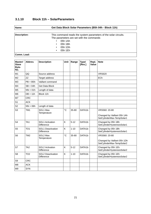## **3.1.10 Block 11h – SolarParameters**

| Name:        | Get Data Block Solar Parameters (B5h 04h - Block 11h)           |  |  |  |  |  |  |
|--------------|-----------------------------------------------------------------|--|--|--|--|--|--|
| Description: | This command reads the system parameters of the solar circuits. |  |  |  |  |  |  |
|              | The parameters are set with the commands                        |  |  |  |  |  |  |
|              | 05h 1Ah                                                         |  |  |  |  |  |  |
|              | 05h 1Bh<br>٠                                                    |  |  |  |  |  |  |
|              | 05h 1Dh<br>$\bullet$                                            |  |  |  |  |  |  |
|              | 05h 1Eh<br>٠                                                    |  |  |  |  |  |  |
| Comm. Load:  |                                                                 |  |  |  |  |  |  |

| Master/<br><b>Slave</b><br>Byte-<br>No. | Abbrev.         | <b>Description</b>                          | <b>Unit</b>  | Range    | <b>Type/</b><br>[Res.] | Repl.<br>Value | <b>Note</b>                                                               |
|-----------------------------------------|-----------------|---------------------------------------------|--------------|----------|------------------------|----------------|---------------------------------------------------------------------------|
| M1                                      | QQ              | Source address                              |              |          |                        |                | <b>VRS620</b>                                                             |
| M <sub>2</sub>                          | ZZ              | Target address                              |              |          |                        |                | ECh                                                                       |
| M <sub>3</sub>                          | $PB = B5h$      | Vaillant command                            |              |          |                        |                |                                                                           |
| M <sub>4</sub>                          | $SB = 04h$      | <b>Get Data Block</b>                       |              |          |                        |                |                                                                           |
| M <sub>5</sub>                          | $NN = 01h$      | Length of data                              |              |          |                        |                |                                                                           |
| M <sub>6</sub>                          | $DB = 11h$      | Block 11h                                   |              |          |                        |                |                                                                           |
| M7                                      | <b>CRC</b>      |                                             |              |          |                        |                |                                                                           |
| S1                                      | <b>ACK</b>      |                                             |              |          |                        |                |                                                                           |
| S <sub>2</sub>                          | $NN = 06h$      | Length of data                              |              |          |                        |                |                                                                           |
| S <sub>3</sub>                          | TM1             | SOL1 Max.<br>Temperature                    | $^{\circ}$ C | 35-80    | DATA1b                 |                | VRS560: 20-80<br>Changed by Vaillant 05h 1Ah<br>SetCylinderMax-TempSolar1 |
| S <sub>4</sub>                          | TA1             | <b>SOL1 Activation</b><br><b>Difference</b> | K            | $5 - 12$ | DATA1b                 |                | Changed by 05h 1Bh<br>SetCylinderHysteresisSolar1                         |
| S <sub>5</sub>                          | TO <sub>1</sub> | SOL1 Deactivation<br><b>Difference</b>      | K            | $1 - 10$ | DATA1b                 |                | Changed by 05h 1Bh<br>SetCylinderHysteresisSolar1                         |
| S <sub>6</sub>                          | TM <sub>2</sub> | SOL2 Max.<br>Temperature                    | $^{\circ}$ C | 35-80    | DATA1b                 |                | VRS560: 20-80<br>Changed by Vaillant 05h 1Dh<br>SetCylinderMax-TempSolar2 |
| S7                                      | TA <sub>2</sub> | <b>SOL2 Activation</b><br>Difference        | K            | $5 - 12$ | DATA1b                 |                | Changed by 05h 1Eh<br>SetCylinderHysteresisSolar2                         |
| S <sub>8</sub>                          | TO <sub>2</sub> | SOL2 Deactivation<br><b>Difference</b>      | K            | $1 - 10$ | DATA1b                 |                | Changed by 05h 1Eh<br>SetCylinderHysteresisSolar2                         |
| S9                                      | <b>CRC</b>      |                                             |              |          |                        |                |                                                                           |
| M <sub>8</sub>                          | <b>ACK</b>      |                                             |              |          |                        |                |                                                                           |
| M <sub>9</sub>                          | <b>SYN</b>      |                                             |              |          |                        |                |                                                                           |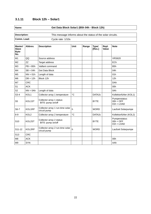## **3.1.11 Block 12h – Solar1**

**Name: Get Data Block Solar1 (B5h 04h - Block 12h)**

| Description: | This message informs about the status of the solar circuits. |
|--------------|--------------------------------------------------------------|
| Comm. Load:  | Cycle rate: 1/10s                                            |

| <b>Master/</b><br><b>Slave</b><br>Byte-<br>No. | Abbrev.     | <b>Description</b>                               | <b>Unit</b> | Range | <b>Type/</b><br>[Res.] | Repl.<br>Value | <b>Note</b>                                  |
|------------------------------------------------|-------------|--------------------------------------------------|-------------|-------|------------------------|----------------|----------------------------------------------|
| M1                                             | QQ          | Source address                                   |             |       |                        |                | <b>VRS620</b>                                |
| M <sub>2</sub>                                 | <b>ZZ</b>   | Target address                                   |             |       |                        |                | ECh                                          |
| M3                                             | $PB = B5h$  | Vaillant command                                 |             |       |                        |                | B <sub>5</sub> h                             |
| M4                                             | $SB = 04h$  | Get Data Block                                   |             |       |                        |                | 04h                                          |
| M <sub>5</sub>                                 | $NN = 01h$  | Length of data                                   |             |       |                        |                | 01h                                          |
| M <sub>6</sub>                                 | $DB = 12h$  | Block 12h                                        |             |       |                        |                | 12h                                          |
| M7                                             | <b>CRC</b>  |                                                  |             |       |                        |                | <b>DAh</b>                                   |
| S1                                             | <b>ACK</b>  |                                                  |             |       |                        |                | 00h                                          |
| S <sub>2</sub>                                 | $NN = 0$ Ah | Length of data                                   |             |       |                        |                | 0Ah                                          |
| $S3-4$                                         | KOL1        | Collector array 1 temperature                    | $^{\circ}C$ |       | DATA <sub>2c</sub>     |                | Kollektorfühler (KOL1)                       |
| S <sub>5</sub>                                 | KOL1ST      | Collector array 1 status:<br>BIT0: pump on/off   |             |       | <b>BYTE</b>            |                | Pumpenstatus:<br>$00h = OFF$<br>$01h = LOAD$ |
| $S6-7$                                         | KOL1RP      | Collector array 1 run-time solar<br>circuit pump | h           |       | <b>WORD</b>            |                | Laufzeit Solarpumpe                          |
| $8-9$                                          | KOL2        | Collector array 2 temperature                    | $^{\circ}C$ |       | DATA <sub>2c</sub>     |                | Kollektorfühler (KOL2)                       |
| S <sub>10</sub>                                | KOL2ST      | Collector array 2 status:<br>BIT0: pump on/off   |             |       | <b>BYTE</b>            |                | Pumpenstatus:<br>$00h = OFF$<br>$01h = LOAD$ |
| S11-12                                         | KOL2RP      | Collector array 2 run-time solar<br>circuit pump | h           |       | <b>WORD</b>            |                | Laufzeit Solarpumpe                          |
| S <sub>13</sub>                                | <b>CRC</b>  |                                                  |             |       |                        |                |                                              |
| M <sub>8</sub>                                 | <b>ACK</b>  |                                                  |             |       |                        |                | 00h                                          |
| M <sub>9</sub>                                 | <b>SYN</b>  |                                                  |             |       |                        |                | AAh                                          |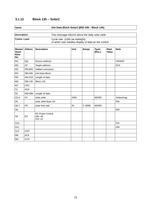## **3.1.12 Block 13h – Solar2**

| Name:               | Get Data Block Solar2 (B5h 04h - Block 13h)                                               |  |  |  |  |  |
|---------------------|-------------------------------------------------------------------------------------------|--|--|--|--|--|
|                     |                                                                                           |  |  |  |  |  |
| <b>Description:</b> | This message informs about the daily solar yield.                                         |  |  |  |  |  |
| Comm. Load:         | Cycle rate: 1/24h (at midnight)<br>or when user initiates display of data on the control. |  |  |  |  |  |

| Master/<br><b>Slave</b><br>Byte-<br>No. | Abbrev.    | <b>Description</b>                     | Unit       | Range      | <b>Type/</b><br>[Res.] | Repl.<br>Value | <b>Note</b>   |
|-----------------------------------------|------------|----------------------------------------|------------|------------|------------------------|----------------|---------------|
| M1                                      | QQ         | Source address                         |            |            |                        |                | <b>VRS620</b> |
| M <sub>2</sub>                          | <b>ZZ</b>  | Target address                         |            |            |                        |                | ECh           |
| M <sub>3</sub>                          | PB=B5h     | Vaillant command                       |            |            |                        |                |               |
| M4                                      | $SB = 04h$ | Get Data Block                         |            |            |                        |                |               |
| M <sub>5</sub>                          | $NN = 01h$ | Length of data                         |            |            |                        |                |               |
| M <sub>6</sub>                          | $DB = 13h$ | Block 13h                              |            |            |                        |                |               |
| M7                                      | <b>CRC</b> |                                        |            |            |                        |                |               |
| S1                                      | <b>ACK</b> |                                        |            |            |                        |                |               |
| S <sub>2</sub>                          | $NN = 09h$ | Length of data                         |            |            |                        |                |               |
| $S3-4$                                  | SY         | solar yield                            | <b>KWh</b> |            | <b>WORD</b>            |                | Solarertrag   |
| S <sub>5</sub>                          |            | solar yield (byte 3)?                  |            |            |                        |                | 00h           |
| $S6-7$                                  | <b>FR</b>  | solar flow rate                        | I/h        | $0 - 9990$ | <b>WORD</b>            |                |               |
| S <sub>8</sub>                          |            |                                        |            |            |                        |                | 00h           |
| S9                                      | ED         | ED Pump Control<br>00h: off<br>01h: on |            |            |                        |                |               |
| S <sub>10</sub>                         |            |                                        |            |            |                        |                | 01h           |
| S <sub>11</sub>                         |            |                                        |            |            |                        |                | 03h           |
| S <sub>12</sub>                         | <b>CRC</b> |                                        |            |            |                        |                |               |
| M <sub>8</sub>                          | <b>ACK</b> |                                        |            |            |                        |                |               |
| M <sub>9</sub>                          | <b>SYN</b> |                                        |            |            |                        |                |               |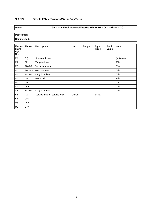## **3.1.13 Block 17h – ServiceWaterDayTime**

#### **Name: Get Data Block ServiceWaterDayTime (B5h 04h - Block 17h)**

| Master/<br><b>Slave</b><br>Byte-<br>No. | Abbrev.    | <b>Description</b>             | Unit   | Range | <b>Type/</b><br>[Res.] | Repl.<br>Value | <b>Note</b>      |
|-----------------------------------------|------------|--------------------------------|--------|-------|------------------------|----------------|------------------|
| M1                                      | QQ         | Source address                 |        |       |                        |                | (unknown)        |
| M <sub>2</sub>                          | ZZ         | Target address                 |        |       |                        |                | 25h              |
| M3                                      | $PB = B5h$ | Vaillant command               |        |       |                        |                | B <sub>5</sub> h |
| M4                                      | $SB = 04h$ | Get Data Block                 |        |       |                        |                | 04h              |
| M <sub>5</sub>                          | $NN = 01h$ | Length of data                 |        |       |                        |                | 01h              |
| M6                                      | $DB = 17h$ | Block 17h                      |        |       |                        |                | 17h              |
| M7                                      | <b>CRC</b> |                                |        |       |                        |                | DAh              |
| S1                                      | <b>ACK</b> |                                |        |       |                        |                | 00h              |
| S <sub>2</sub>                          | $NN = 01h$ | Length of data                 |        |       |                        |                | 01h              |
| S <sub>3</sub>                          | AA         | Service time for service water | On/Off |       | <b>BYTE</b>            |                |                  |
| S4                                      | <b>CRC</b> |                                |        |       |                        |                |                  |
| M8                                      | <b>ACK</b> |                                |        |       |                        |                |                  |
| M9                                      | <b>SYN</b> |                                |        |       |                        |                |                  |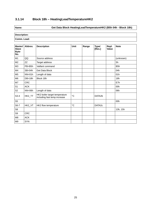## **3.1.14 Block 18h – HeatingLeadTemperatureHK2**

#### **Name: Get Data Block HeatingLeadTemperatureHK2 (B5h 04h - Block 18h)**

## **Description:**

## **Comm. Load:**

| Master/<br><b>Slave</b><br>Byte-<br>No. | Abbrev.    | <b>Description</b>                                            | Unit              | Range | <b>Type/</b><br>[Res.] | Repl.<br><b>Value</b> | <b>Note</b>      |
|-----------------------------------------|------------|---------------------------------------------------------------|-------------------|-------|------------------------|-----------------------|------------------|
| M1                                      | QQ         | Source address                                                |                   |       |                        |                       | (unknown)        |
| M <sub>2</sub>                          | ZZ         | Target address                                                |                   |       |                        |                       | 5h               |
| MЗ                                      | PB=B5h     | Vaillant command                                              |                   |       |                        |                       | B <sub>5</sub> h |
| M4                                      | $SB = 04h$ | <b>Get Data Block</b>                                         |                   |       |                        |                       | 04h              |
| M <sub>5</sub>                          | $NN = 01h$ | Length of data                                                |                   |       |                        |                       | 01h              |
| M <sub>6</sub>                          | $DB = 18h$ | Block 18h                                                     |                   |       |                        |                       | 18h              |
| M7                                      | <b>CRC</b> |                                                               |                   |       |                        |                       | E7h              |
| S1                                      | <b>ACK</b> |                                                               |                   |       |                        |                       | 00h              |
| S <sub>2</sub>                          | $NN = 06h$ | Length of data                                                |                   |       |                        |                       | 06h              |
| $S3-4$                                  | HK2_TT     | HK2 boiler target temperature<br>including fast temp increase | $^{\circ}{\rm C}$ |       | DATA2b                 |                       |                  |
| S <sub>5</sub>                          |            |                                                               |                   |       |                        |                       | 00h              |
| $S6-7$                                  | HK2_VT     | HK2 flow temperature                                          | $^\circ \text{C}$ |       | DATA <sub>2c</sub>     |                       |                  |
| S <sub>8</sub>                          |            |                                                               |                   |       |                        |                       | 13h, 15h         |
| S9                                      | <b>CRC</b> |                                                               |                   |       |                        |                       |                  |
| M8                                      | <b>ACK</b> |                                                               |                   |       |                        |                       |                  |
| M9                                      | <b>SYN</b> |                                                               |                   |       |                        |                       |                  |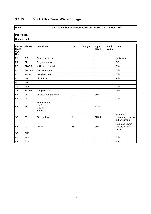## **3.1.15 Block 21h – ServiceWaterStorage**

#### **Name: Get Data Block ServiceWaterStorage(B5h 04h - Block 21h)**

| Master/<br><b>Slave</b><br>Byte-<br>No. | Abbrev.    | <b>Description</b>                                  | Unit        | Range | <b>Type/</b><br>[Res.] | Repl.<br>Value | <b>Note</b>                                     |
|-----------------------------------------|------------|-----------------------------------------------------|-------------|-------|------------------------|----------------|-------------------------------------------------|
| M1                                      | QQ         | Source address                                      |             |       |                        |                | (unknown)                                       |
| M <sub>2</sub>                          | ZZ         | Target address                                      |             |       |                        |                | ECh                                             |
| M <sub>3</sub>                          | PB=B5h     | Vaillant command                                    |             |       |                        |                | B <sub>5</sub> h                                |
| M4                                      | $SB = 04h$ | Get Data Block                                      |             |       |                        |                | 04h                                             |
| M <sub>5</sub>                          | $NN = 01h$ | Length of data                                      |             |       |                        |                | 01h                                             |
| M <sub>6</sub>                          | $DB = 21h$ | Block 21h                                           |             |       |                        |                | 21h                                             |
| M7                                      | <b>CRC</b> |                                                     |             |       |                        |                |                                                 |
| S1                                      | <b>ACK</b> |                                                     |             |       |                        |                | 00h                                             |
| S <sub>2</sub>                          | $NN = 05h$ | Length of data                                      |             |       |                        |                | 05h                                             |
| S <sub>3</sub>                          | CC         | Collector temperature                               | $^{\circ}C$ |       | <b>CHAR</b>            |                |                                                 |
| S <sub>4</sub>                          | DD         |                                                     |             |       |                        |                | 00h                                             |
| S <sub>5</sub>                          | EE         | Heater source:<br>$0:$ off<br>1: solar<br>2: heater |             |       | <b>BYTE</b>            |                |                                                 |
| S <sub>6</sub>                          | FF         | Storage level                                       | $\%$        |       | <b>CHAR</b>            |                | Same as<br>percentage display<br>in basic menu. |
| S7                                      | GG         | Power                                               | $\%$        |       | <b>CHAR</b>            |                | Same as power<br>display in basic<br>menu.      |
| S8                                      | <b>CRC</b> |                                                     |             |       |                        |                |                                                 |
| M8                                      | <b>ACK</b> |                                                     |             |       |                        |                | 00h                                             |
| M <sub>9</sub>                          | <b>SYN</b> |                                                     |             |       |                        |                | <b>AAH</b>                                      |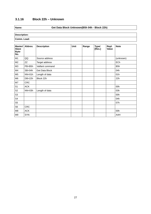## **3.1.16 Block 22h – Unknown**

#### **Name: Get Data Block Unknown(B5h 04h - Block 22h)**

| Master/<br><b>Slave</b><br>Byte-<br>No. | Abbrev.    | <b>Description</b> | <b>Unit</b> | Range | <b>Type/</b><br>[Res.] | Repl.<br>Value | <b>Note</b> |
|-----------------------------------------|------------|--------------------|-------------|-------|------------------------|----------------|-------------|
| M1                                      | QQ         | Source address     |             |       |                        |                | (unknown)   |
| M <sub>2</sub>                          | ZZ         | Target address     |             |       |                        |                | ECh         |
| M3                                      | PB=B5h     | Vaillant command   |             |       |                        |                | B5h         |
| M4                                      | SB=04h     | Get Data Block     |             |       |                        |                | 04h         |
| M <sub>5</sub>                          | $NN = 01h$ | Length of data     |             |       |                        |                | 01h         |
| M <sub>6</sub>                          | $DB = 22h$ | Block 22h          |             |       |                        |                | 22h         |
| M7                                      | <b>CRC</b> |                    |             |       |                        |                |             |
| S1                                      | <b>ACK</b> |                    |             |       |                        |                | 00h         |
| S <sub>2</sub>                          | $NN = 03h$ | Length of data     |             |       |                        |                | 03h         |
| S <sub>3</sub>                          |            |                    |             |       |                        |                | 00h         |
| S4                                      |            |                    |             |       |                        |                | 04h         |
| S <sub>5</sub>                          |            |                    |             |       |                        |                | 07h         |
| S <sub>6</sub>                          | <b>CRC</b> |                    |             |       |                        |                |             |
| M8                                      | <b>ACK</b> |                    |             |       |                        |                | 00h         |
| M <sub>9</sub>                          | <b>SYN</b> |                    |             |       |                        |                | AAH         |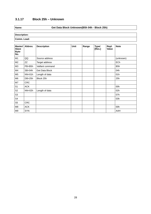## **3.1.17 Block 25h – Unknown**

#### **Name: Get Data Block Unknown(B5h 04h - Block 25h)**

| Master/<br><b>Slave</b><br>Byte-<br>No. | Abbrev.    | <b>Description</b> | <b>Unit</b> | Range | <b>Type/</b><br>[Res.] | Repl.<br>Value | <b>Note</b>      |
|-----------------------------------------|------------|--------------------|-------------|-------|------------------------|----------------|------------------|
| M1                                      | QQ         | Source address     |             |       |                        |                | (unknown)        |
| M <sub>2</sub>                          | ZZ         | Target address     |             |       |                        |                | ECh              |
| M <sub>3</sub>                          | PB=B5h     | Vaillant command   |             |       |                        |                | B <sub>5</sub> h |
| M4                                      | $SB = 04h$ | Get Data Block     |             |       |                        |                | 04h              |
| M <sub>5</sub>                          | $NN = 01h$ | Length of data     |             |       |                        |                | 01h              |
| M <sub>6</sub>                          | $DB = 25h$ | Block 25h          |             |       |                        |                | 25h              |
| M7                                      | <b>CRC</b> |                    |             |       |                        |                |                  |
| S1                                      | <b>ACK</b> |                    |             |       |                        |                | 00h              |
| S <sub>2</sub>                          | $NN = 02h$ | Length of data     |             |       |                        |                | 02h              |
| S <sub>3</sub>                          |            |                    |             |       |                        |                | 07h              |
| S4                                      |            |                    |             |       |                        |                | 03h              |
| S <sub>5</sub>                          | <b>CRC</b> |                    |             |       |                        |                |                  |
| M8                                      | <b>ACK</b> |                    |             |       |                        |                | 00h              |
| M9                                      | <b>SYN</b> |                    |             |       |                        |                | AAH              |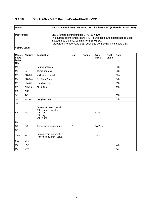#### **3.1.18 Block 26h – VR81RemoteControlUnitForVRC**

| Name:        | Get Data Block VR81RemoteControlUnitForVRC (B5h 04h - Block 26h)                                                     |  |  |  |  |  |  |
|--------------|----------------------------------------------------------------------------------------------------------------------|--|--|--|--|--|--|
| Description: |                                                                                                                      |  |  |  |  |  |  |
|              | VR81 remote control unit for VRC430 / 470<br>The current room temperature (RC) is unreliable and should not be used. |  |  |  |  |  |  |
|              | Instead, use the data coming from B5 05 3C.                                                                          |  |  |  |  |  |  |
|              | Target room temperature (RS) seems to be missing if it is set to $22^{\circ}$ C.                                     |  |  |  |  |  |  |
| Comm. Load:  |                                                                                                                      |  |  |  |  |  |  |

| Master/<br><b>Slave</b><br>Byte-<br>No. | Abbrev.    | <b>Description</b>                                                                        | <b>Unit</b>  | Range | <b>Type/</b><br>[Res.] | Repl.<br><b>Value</b> | <b>Note</b>      |
|-----------------------------------------|------------|-------------------------------------------------------------------------------------------|--------------|-------|------------------------|-----------------------|------------------|
| M1                                      | QQ         | Source address                                                                            |              |       |                        |                       | 30h              |
| M <sub>2</sub>                          | ZZ         | Target address                                                                            |              |       |                        |                       | 26h              |
| M <sub>3</sub>                          | PB=B5h     | Vaillant command                                                                          |              |       |                        |                       | B <sub>5</sub> h |
| M4                                      | $SB = 04h$ | <b>Get Data Block</b>                                                                     |              |       |                        |                       | 04h              |
| M <sub>5</sub>                          | $NN = 01h$ | Length of data                                                                            |              |       |                        |                       | 01h              |
| M <sub>6</sub>                          | $DB = 26h$ | Block 26h                                                                                 |              |       |                        |                       | 26h              |
| M7                                      | <b>CRC</b> |                                                                                           |              |       |                        |                       |                  |
| S <sub>1</sub>                          | <b>ACK</b> |                                                                                           |              |       |                        |                       | 00h              |
| S <sub>2</sub>                          | $NN = 07h$ | Length of data                                                                            |              |       |                        |                       | 07h              |
| S3                                      |            |                                                                                           |              |       |                        |                       |                  |
| S <sub>4</sub>                          | <b>MO</b>  | Current Mode of operation:<br>00h: heating disabled<br>02h: day<br>03h: day<br>04h: night |              |       | <b>BYTE</b>            |                       |                  |
| S <sub>5</sub>                          |            |                                                                                           |              |       |                        |                       |                  |
| S <sub>6</sub>                          | <b>RS</b>  | Target room temperature                                                                   | $^{\circ}$ C |       | DATA1c                 |                       |                  |
| S7                                      |            |                                                                                           |              |       |                        |                       |                  |
| S8-9                                    | <b>RC</b>  | Current room temperature<br>(corrected by offset value)                                   | $^{\circ}$ C |       | DATA <sub>2c</sub>     |                       |                  |
| S <sub>10</sub>                         | <b>CRC</b> |                                                                                           |              |       |                        |                       |                  |
| M <sub>8</sub>                          | <b>ACK</b> |                                                                                           |              |       |                        |                       | 00h              |
| M <sub>9</sub>                          | <b>SYN</b> |                                                                                           |              |       |                        |                       | AAH              |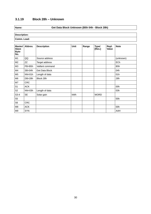## **3.1.19 Block 28h – Unknown**

#### **Name: Get Data Block Unknown (B5h 04h - Block 28h)**

| <b>Master/</b><br><b>Slave</b><br>Byte-<br>No. | Abbrev.    | <b>Description</b> | <b>Unit</b> | Range | <b>Type/</b><br>[Res.] | Repl.<br>Value | <b>Note</b>      |
|------------------------------------------------|------------|--------------------|-------------|-------|------------------------|----------------|------------------|
| M1                                             | QQ         | Source address     |             |       |                        |                | (unknown)        |
| M <sub>2</sub>                                 | ZZ         | Target address     |             |       |                        |                | ECh              |
| M <sub>3</sub>                                 | $PB = B5h$ | Vaillant command   |             |       |                        |                | B <sub>5</sub> h |
| M4                                             | $SB = 04h$ | Get Data Block     |             |       |                        |                | 04h              |
| M <sub>5</sub>                                 | $NN = 01h$ | Length of data     |             |       |                        |                | 01h              |
| M6                                             | DB=28h     | Block 28h          |             |       |                        |                | 28h              |
| M7                                             | CRC        |                    |             |       |                        |                |                  |
| S1                                             | <b>ACK</b> |                    |             |       |                        |                | 00h              |
| S <sub>2</sub>                                 | $NN = 03h$ | Length of data     |             |       |                        |                | 03h              |
| $S3-4$                                         | <b>SE</b>  | Solar gain         | kWh         |       | <b>WORD</b>            |                |                  |
| S <sub>5</sub>                                 |            |                    |             |       |                        |                | 00h              |
| S <sub>6</sub>                                 | <b>CRC</b> |                    |             |       |                        |                |                  |
| M8                                             | <b>ACK</b> |                    |             |       |                        |                | 00h              |
| M <sub>9</sub>                                 | <b>SYN</b> |                    |             |       |                        |                | AAH              |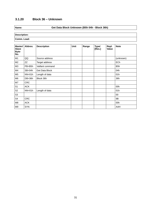## **3.1.20 Block 36 – Unknown**

#### **Name: Get Data Block Unknown (B5h 04h - Block 36h)**

| <b>Master/</b><br><b>Slave</b><br>Byte-<br>No. | Abbrev.    | <b>Description</b>    | <b>Unit</b> | Range | <b>Type/</b><br>[Res.] | Repl.<br>Value | <b>Note</b>      |
|------------------------------------------------|------------|-----------------------|-------------|-------|------------------------|----------------|------------------|
| M1                                             | QQ         | Source address        |             |       |                        |                | (unknown)        |
| M <sub>2</sub>                                 | ZZ         | Target address        |             |       |                        |                | ECh              |
| M <sub>3</sub>                                 | PB=B5h     | Vaillant command      |             |       |                        |                | B <sub>5</sub> h |
| M4                                             | $SB = 04h$ | <b>Get Data Block</b> |             |       |                        |                | 04h              |
| M <sub>5</sub>                                 | $NN = 01h$ | Length of data        |             |       |                        |                | 01h              |
| M <sub>6</sub>                                 | $DB = 36h$ | Block 36h             |             |       |                        |                | 36h              |
| M7                                             | <b>CRC</b> |                       |             |       |                        |                |                  |
| S1                                             | <b>ACK</b> |                       |             |       |                        |                | 00h              |
| S <sub>2</sub>                                 | $NN = 01h$ | Length of data        |             |       |                        |                | 01h              |
| S <sub>3</sub>                                 |            |                       |             |       |                        |                | 00               |
| S <sub>4</sub>                                 | <b>CRC</b> |                       |             |       |                        |                | <b>9B</b>        |
| M8                                             | <b>ACK</b> |                       |             |       |                        |                | 00h              |
| M <sub>9</sub>                                 | <b>SYN</b> |                       |             |       |                        |                | AAH              |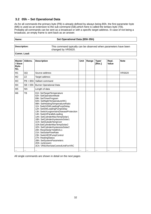#### **3.2 05h – Set Operational Data**

As for all commands the primary byte (PB) is already defined by always being B5h, the first parameter byte (M6) is used as an extension to the sub command (SB),which here is called the tertiary byte (TB). Probably all commands can be sent as a broadcast or with a specific target address. In case of not being a broadcast, an empty frame is sent back as an answer.

#### **Name: Set Operational Data (B5h 05h)**

**Description:** This command typically can be observed when parameters have been changed by VRS620.

**Comm. Load:**

| <b>Master</b><br>/ Slave<br>Byte-<br>No. | Abbrev.    | <b>Description</b>                                                                                                                                                                                                                                                                                                                                                                                                                                                                                                                                                                                                                                 | <b>Unit</b> | Range | <b>Type/</b><br>[Res.] | Repl.<br>Value | <b>Note</b>   |
|------------------------------------------|------------|----------------------------------------------------------------------------------------------------------------------------------------------------------------------------------------------------------------------------------------------------------------------------------------------------------------------------------------------------------------------------------------------------------------------------------------------------------------------------------------------------------------------------------------------------------------------------------------------------------------------------------------------------|-------------|-------|------------------------|----------------|---------------|
| M1                                       | QQ         | Source address                                                                                                                                                                                                                                                                                                                                                                                                                                                                                                                                                                                                                                     |             |       |                        |                | <b>VRS620</b> |
| M <sub>2</sub>                           | <b>ZZ</b>  | Target address                                                                                                                                                                                                                                                                                                                                                                                                                                                                                                                                                                                                                                     |             |       |                        |                |               |
| M <sub>3</sub>                           | $PB = BB$  | Vaillant command                                                                                                                                                                                                                                                                                                                                                                                                                                                                                                                                                                                                                                   |             |       |                        |                |               |
| M4                                       | $SB = 05h$ | <b>Burner Operational Data</b>                                                                                                                                                                                                                                                                                                                                                                                                                                                                                                                                                                                                                     |             |       |                        |                |               |
| M <sub>5</sub>                           | <b>NN</b>  | Length of data                                                                                                                                                                                                                                                                                                                                                                                                                                                                                                                                                                                                                                     |             |       |                        |                |               |
| M <sub>6</sub>                           | <b>TB</b>  | 01h: SetTargetTemperature<br>02h: SetOperationMode<br>09h: SetTimerProgram<br>0Ah: SetNightTemperatureHK1<br>0Bh: SetHeatingTemperatiureRatio<br>11h: SwitchSWLoadingPunpDelay<br>12h: SetSWLoadingPumpDelay<br>13h: SwitchLegionnairsDiseaseProtection<br>14h: SwitchParallelLoading<br>1Ah: SetCylinderMaxTempSolar1<br>1Bh: SetCylinderHysteresisSolar1<br>1Ch: SetOutsideTempCorr<br>1Dh:SetCylinderMaxTempSolar2<br>1Eh: SetCylinderHysteresisSolar2<br>20h: ResetSolarYieldKOL1<br>21h: SetSolarFlowRate<br>23h: SwitchEDPumpControl<br>27h: HeatingStatus<br>2Bh: SetSystemParameters<br>2Dh: (unknown)<br>3Ch: VR81RemoteControlUnitForVRC |             |       |                        |                |               |
|                                          |            |                                                                                                                                                                                                                                                                                                                                                                                                                                                                                                                                                                                                                                                    |             |       |                        |                |               |

All single commands are shown in detail on the next pages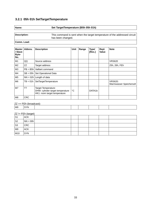#### **3.2.1 05h 01h SetTargetTemperature**

## **Name: Set TargetTemperature (B5h 05h 01h)**

**Description:** This command is sent when the target temperature of the addressed circuit has been changed.

#### **Comm. Load:**

| <b>Master</b><br>/ Slave<br>Byte-<br>No. | Abbrey.    | <b>Description</b>                                                                      | Unit        | Range | <b>Type/</b><br>[Res.] | Repl.<br><b>Value</b> | <b>Note</b>                               |
|------------------------------------------|------------|-----------------------------------------------------------------------------------------|-------------|-------|------------------------|-----------------------|-------------------------------------------|
| M1                                       | QQ         | Source address                                                                          |             |       |                        |                       | <b>VRS620</b>                             |
| M <sub>2</sub>                           | ZZ         | Target address                                                                          |             |       |                        |                       | 25h, 26h, FEh                             |
| M3                                       |            | $PB = B5h$ Vaillant command                                                             |             |       |                        |                       |                                           |
| M4                                       | $SB = 05h$ | Set Operational Data                                                                    |             |       |                        |                       |                                           |
| M <sub>5</sub>                           |            | $NN = 02h$ Length of data                                                               |             |       |                        |                       |                                           |
| M <sub>6</sub>                           | $TB = 01h$ | SetTargetTemperature                                                                    |             |       |                        |                       | <b>VRS620:</b><br>Warmwasser Speichersoll |
| M7                                       | <b>TT</b>  | Target Temperature:<br>DHW: cylinder target temperature<br>HK1: room target temperature | $^{\circ}C$ |       | DATA1b                 |                       |                                           |
| M <sub>8</sub>                           | <b>CRC</b> |                                                                                         |             |       |                        |                       |                                           |

#### $ZZ == FEh$  (broadcast):

| M9 | .  .<br>`YN-<br>$- \cdot \cdot \cdot$ |  |  |  |
|----|---------------------------------------|--|--|--|
|    |                                       |  |  |  |

#### $ZZ = FEh$  (target)

| S <sub>1</sub> | $\sim$ $\sim$<br><b>ACK</b> |  |  |  |
|----------------|-----------------------------|--|--|--|
| S <sub>2</sub> | $NN = 00h$                  |  |  |  |
| S <sub>3</sub> | CRC                         |  |  |  |
| M <sub>9</sub> | <b>ACK</b>                  |  |  |  |
| M10            | <b>SYN</b>                  |  |  |  |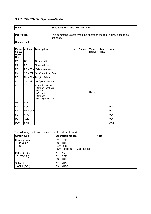#### **3.2.2 05h 02h SetOperationMode**

#### **Name: SetOperationMode (B5h 05h 02h)**

| Description: | This command is sent when the operation mode of a circuit has to be<br>changed. |
|--------------|---------------------------------------------------------------------------------|
| Comm. Load:  |                                                                                 |

**Master / Slave Byte-No. Description Limit Range Type/ [Res.] Repl. Value Note** M1 QQ Source address  $M2$   $|ZZ$  Target address M3  $|PB = B5h|$  Vaillant command  $MA$  SB = 05h Set Operational Data  $MS$  NN = 02h Length of data  $M6$   $TB = 02h$  SetOperationMode M7 | TT | Operation Mode: 01h: on (heating) 02h: off 03h: auto 04h: eco 05h: night set back BYTE M8 CRC S1 ACK 00h  $S2 \qquad |NN = 00h$ S3 CRC 00h M9 ACK 00h M10 SYN AAh (1999) (1999) (1999) (1999) (1999) (1999) (1999) (1999) (1999) (1999) (1999) (1999) (199

The following modes are possible for the different circuits:

| <b>Circuit type</b>                                     | <b>Operation modes</b>                                        | <b>Note</b> |
|---------------------------------------------------------|---------------------------------------------------------------|-------------|
| <b>Heating circuits</b><br>HK1 (26h)<br>HK <sub>2</sub> | 02h: OFF<br>03h: AUTO<br>04h: ECO<br>05h: NIGHT SET BACK MODE |             |
| DHW circuits<br>DHW (25h)                               | 01h: ON<br>02h: OFF<br>03h: AUTO                              |             |
| Solar circuits<br>KOL1 (ECh)                            | 02h: AUS<br>03h: AUTO                                         |             |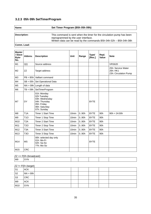#### **3.2.3 05h 09h SetTimerProgram**

#### **Name: Set Timer Program (B5h 05h 09h)**

**Description:** This command is sent when the timer for the circulation pump has been reprogrammed by the user interface. Written data can be read by the commands B5h 04h 02h – B5h 04h 08h

**Comm. Load:**

| <b>Master</b><br>/ Slave<br>Byte-<br>No. | Abbrev.          | <b>Description</b>                                                                                           | <b>Unit</b>       | Range | <b>Type/</b><br>[Res.] | Repl.<br>Value  | <b>Note</b>                                             |
|------------------------------------------|------------------|--------------------------------------------------------------------------------------------------------------|-------------------|-------|------------------------|-----------------|---------------------------------------------------------|
| M1                                       | QQ               | Source address                                                                                               |                   |       |                        |                 | <b>VRS620</b>                                           |
| M <sub>2</sub>                           | ZZ               | Target address                                                                                               |                   |       |                        |                 | 25h: Service Water<br>26h: HK1<br>23h: Circulation Pump |
| M3                                       |                  | $PB = B5h$ Vaillant command                                                                                  |                   |       |                        |                 |                                                         |
| M4                                       |                  | $SB = 05h$ Set Operational Data                                                                              |                   |       |                        |                 |                                                         |
| M <sub>5</sub>                           |                  | $NN = 09h$ Length of data                                                                                    |                   |       |                        |                 |                                                         |
| M <sub>6</sub>                           | $TB = 09h$       | SetTimerProgram                                                                                              |                   |       |                        |                 |                                                         |
| M <sub>7</sub>                           | DY               | 01h: Monday<br>02h Tuesday<br>03h: Wednesday<br>04h: Thursday<br>05h: Friday<br>06h: Saturday<br>07h: Sunday |                   |       | <b>BYTE</b>            |                 |                                                         |
| M8                                       | T <sub>1</sub> A | <b>Timer 1 Start Time</b>                                                                                    | 10 <sub>min</sub> | 0.90h | <b>BYTE</b>            | 90h             | $90h = 24:00h$                                          |
| M <sub>9</sub>                           | <b>T10</b>       | Timer 1 Stop Time                                                                                            | 10 <sub>min</sub> | 0.90h | <b>BYTE</b>            | 90h             |                                                         |
| M10                                      | T <sub>2</sub> A | <b>Timer 2 Start Time</b>                                                                                    | 10 <sub>min</sub> | 0.90h | <b>BYTE</b>            | 90h             |                                                         |
| M11                                      | <b>T2O</b>       | Timer 2 Stop Time                                                                                            | 10 <sub>min</sub> | 0.90h | <b>BYTE</b>            | 90 <sub>h</sub> |                                                         |
| M12                                      | T <sub>3</sub> A | <b>Timer 3 Start Time</b>                                                                                    | 10 <sub>min</sub> | 0.90h | <b>BYTE</b>            | 90h             |                                                         |
| M13                                      | T <sub>3</sub> O | Timer 3 Stop Time                                                                                            | 10 <sub>min</sub> | 0.90h | <b>BYTE</b>            | 90h             |                                                         |
| M14                                      | <b>MS</b>        | 00h: selected day only<br>01h: Mo-Fr<br>02h: Sa-So<br>??h: Mo-So                                             |                   |       | <b>BYTE</b>            |                 |                                                         |
| M15                                      | <b>CRC</b>       |                                                                                                              |                   |       |                        |                 |                                                         |

 $ZZ == FEh$  (broadcast):

| M <sub>9</sub> | <b>SYN</b> |  |  |  |
|----------------|------------|--|--|--|
|                |            |  |  |  |

#### ZZ != FEh (target)

| S <sub>1</sub> | $\sim$ $\sim$<br><b>ACK</b> |  |  |  |
|----------------|-----------------------------|--|--|--|
| S <sub>2</sub> | $ NN = 00h $                |  |  |  |
| S <sub>3</sub> | <b>CRC</b>                  |  |  |  |
| M <sub>9</sub> | <b>ACK</b>                  |  |  |  |
| M10            | <b>SYN</b>                  |  |  |  |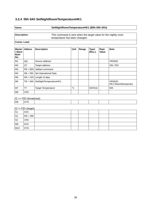#### **3.2.4 05h 0Ah SetNightRoomTemperatureHK1**

#### **Name: SetNightRoomTemperatureHK1 (B5h 05h 0Ah)**

**Description:** This command is sent when the target value for the nightly room temperature has been changed.

**Comm. Load:**

| <b>Master</b><br>/ Slave<br>Byte-<br>No. | Abbrev.    | <b>Description</b>        | Unit        | Range | <b>Type/</b><br>[Res.] | Repl.<br><b>Value</b> | <b>Note</b>                            |
|------------------------------------------|------------|---------------------------|-------------|-------|------------------------|-----------------------|----------------------------------------|
| M1                                       | QQ         | Source address            |             |       |                        |                       | <b>VRS620</b>                          |
| M <sub>2</sub>                           | ZZ         | Target address            |             |       |                        |                       | 25h, FEh                               |
| M <sub>3</sub>                           | $PB = B5h$ | Vaillant command          |             |       |                        |                       |                                        |
| M4                                       | $SB = 05h$ | Set Operational Data      |             |       |                        |                       |                                        |
| M <sub>5</sub>                           |            | $NN = 02h$ Length of data |             |       |                        |                       |                                        |
| M6                                       | $TB = 0Ah$ | SetNightTemperatureHK1    |             |       |                        |                       | <b>VRS620:</b><br>HK1 Absenktemperatur |
| M7                                       | TT         | <b>Target Temperature</b> | $^{\circ}C$ |       | DATA1b                 |                       | 00h                                    |
| M <sub>8</sub>                           | <b>CRC</b> |                           |             |       |                        |                       |                                        |

 $ZZ = FEh$  (broadcast):

| --- |     |  |  |  |  |
|-----|-----|--|--|--|--|
| M9  | SYN |  |  |  |  |
|     |     |  |  |  |  |

 $ZZ$  != FEh (target)

| $\vert$ S1 | <b>ACK</b> |  |  |  |
|------------|------------|--|--|--|
| $ $ S2     | $NN = 00h$ |  |  |  |
| $\vert$ S3 | CRC        |  |  |  |
| M9         | <b>ACK</b> |  |  |  |
| M10        | <b>SYN</b> |  |  |  |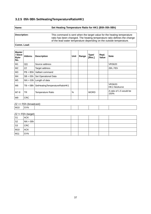# **3.2.5 05h 0Bh SetHeatingTemperatureRatioHK1**

# **Name: Set Heating Temperature Ratio for HK1 (B5h 05h 0Bh)**

**Description:** This command is sent when the target value for the heating temperature ratio has been changed. The heating temperature ratio defines the change of the lead water temperature depending on the outside temperature.

#### **Comm. Load:**

| <b>Master</b><br>/ Slave<br>Byte-<br>No. | Abbrev.    | <b>Description</b>            | Unit          | Range | <b>Type/</b><br>[Res.] | Repl.<br>Value | <b>Note</b>                            |
|------------------------------------------|------------|-------------------------------|---------------|-------|------------------------|----------------|----------------------------------------|
| M1                                       | QQ         | Source address                |               |       |                        |                | <b>VRS620</b>                          |
| M <sub>2</sub>                           | ZZ         | Target address                |               |       |                        |                | 26h, FEh                               |
| M3                                       | $PB = B5h$ | Vaillant command              |               |       |                        |                |                                        |
| M4                                       | $SB = 05h$ | Set Operational Data          |               |       |                        |                |                                        |
| M <sub>5</sub>                           |            | $NN = 03h$ Length of data     |               |       |                        |                |                                        |
| M <sub>6</sub>                           | $TB = OBh$ | SetHeatingTemperatureRatioHK1 |               |       |                        |                | <b>VRS620:</b><br><b>HK1 Heizkurve</b> |
| M7-8                                     | <b>TR</b>  | <b>Temperature Ratio</b>      | $\frac{0}{0}$ |       | <b>WORD</b>            |                | A ratio of 1.5 would be<br>150%        |
| M <sub>9</sub>                           | <b>CRC</b> |                               |               |       |                        |                |                                        |

#### $ZZ == FEh$  (broadcast):

| $   -$<br>M10<br>`YN-<br>$\cdot$ $\cdot$<br>$   -$ |  |  |  |  |  |  |  |  |  |
|----------------------------------------------------|--|--|--|--|--|--|--|--|--|
|----------------------------------------------------|--|--|--|--|--|--|--|--|--|

| S <sub>1</sub> | ູ<br><b>ACK</b> |  |  |  |
|----------------|-----------------|--|--|--|
| S2             | $ NN = 00h $    |  |  |  |
| $\vert$ S3     | <b>CRC</b>      |  |  |  |
| M10            | <b>ACK</b>      |  |  |  |
| M11            | <b>SYN</b>      |  |  |  |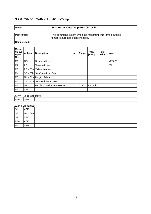# **3.2.6 05h 0Ch SetMaxLimitOutsTemp**

| am |  |
|----|--|
| м  |  |

# **Name: SetMaxLimitOutsTemp (B5h 05h 0Ch)**

**Description:** This command is sent when the maximum limit for the outside temperetaure has been changed.

**Comm. Load:**

| <b>Master</b><br>/ Slave<br>Byte-<br>No. | Abbrev.    | <b>Description</b>              | Unit        | Range | <b>Type/</b><br>[Res.] | Repl.<br><b>Value</b> | <b>Note</b>   |
|------------------------------------------|------------|---------------------------------|-------------|-------|------------------------|-----------------------|---------------|
| M1                                       | QQ         | Source address                  |             |       |                        |                       | <b>VRS620</b> |
| M <sub>2</sub>                           | ZZ         | Target address                  |             |       |                        |                       | 26h           |
| M <sub>3</sub>                           | $PB = B5h$ | Vaillant command                |             |       |                        |                       |               |
| M4                                       | $SB = 05h$ | Set Operational Data            |             |       |                        |                       |               |
| M <sub>5</sub>                           |            | $NN = 02h$ Length of data       |             |       |                        |                       |               |
| M <sub>6</sub>                           |            | $TB = OCh$ SetMaxLimitsOutsTemp |             |       |                        |                       |               |
| M <sub>7</sub>                           | OT         | Max limit outside temperature   | $^{\circ}C$ | 5.50  | DATA1b                 |                       |               |
| M <sub>8</sub>                           | <b>CRC</b> |                                 |             |       |                        |                       |               |

#### $ZZ == FEh$  (broadcast):

|     | ---------- |                 |  |  |  |  |  |
|-----|------------|-----------------|--|--|--|--|--|
| M10 |            | <b>CVN</b><br>ີ |  |  |  |  |  |
|     |            |                 |  |  |  |  |  |

| S1             | <b>ACK</b> |  |  |  |
|----------------|------------|--|--|--|
| S <sub>2</sub> | $NN = 00h$ |  |  |  |
| S <sub>3</sub> | <b>CRC</b> |  |  |  |
| M10            | <b>ACK</b> |  |  |  |
| M11            | <b>SYN</b> |  |  |  |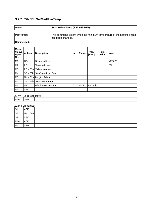# **3.2.7 05h 0Eh SetMinFlowTemp**

| Name:               | SetMinFlowTemp (B5h 05h 0Eh)                                                                  |
|---------------------|-----------------------------------------------------------------------------------------------|
| <b>Description:</b> | This command is sent when the minimum temperature of the heating circuit<br>has been changed. |
| Comm. Load:         |                                                                                               |

| <b>Master</b><br>/ Slave<br>Byte-<br>No. | Abbrey.    | <b>Description</b>        | Unit        | Range | <b>Type/</b><br>[Res.] | Repl.<br><b>Value</b> | <b>Note</b>   |
|------------------------------------------|------------|---------------------------|-------------|-------|------------------------|-----------------------|---------------|
| M1                                       | QQ         | Source address            |             |       |                        |                       | <b>VRS620</b> |
| M <sub>2</sub>                           | ZZ         | Target address            |             |       |                        |                       | 26h           |
| M <sub>3</sub>                           | $PB = B5h$ | Vaillant command          |             |       |                        |                       |               |
| M4                                       | $SB = 05h$ | Set Operational Data      |             |       |                        |                       |               |
| M <sub>5</sub>                           |            | $NN = 02h$ Length of data |             |       |                        |                       |               |
| M <sub>6</sub>                           | $TB = OEh$ | SetMinFlowTemp            |             |       |                        |                       |               |
| M <sub>7</sub>                           | <b>MFT</b> | Min flow temperature      | $^{\circ}C$ | 15.90 | DATA1b                 |                       |               |
| M <sub>8</sub>                           | <b>CRC</b> |                           |             |       |                        |                       |               |

#### $ZZ == FEh$  (broadcast):

| ' M10<br>.<br>$\mathbf{v}$<br>$\sim$ |  |  |  |  |  |  |  |  |  |
|--------------------------------------|--|--|--|--|--|--|--|--|--|
|--------------------------------------|--|--|--|--|--|--|--|--|--|

| S1             | <b>ACK</b>   |  |  |  |
|----------------|--------------|--|--|--|
| S <sub>2</sub> | $ NN = 00h $ |  |  |  |
| S <sub>3</sub> | <b>CRC</b>   |  |  |  |
| M10            | <b>ACK</b>   |  |  |  |
| M11            | <b>SYN</b>   |  |  |  |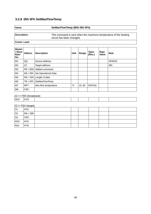# **3.2.8 05h 0Fh SetMaxFlowTemp**

| Name:        | SetMaxFlowTemp (B5h 05h 0Fh)                                                                  |
|--------------|-----------------------------------------------------------------------------------------------|
| Description: | This command is sent when the maximum temperature of the heating<br>circuit has been changed. |
| Comm. Load:  |                                                                                               |

| <b>Master</b><br>/ Slave<br>Byte-<br>No. | Abbrev.    | <b>Description</b>        | Unit        | Range | <b>Type/</b><br>[Res.] | Repl.<br><b>Value</b> | <b>Note</b>   |
|------------------------------------------|------------|---------------------------|-------------|-------|------------------------|-----------------------|---------------|
| M1                                       | QQ         | Source address            |             |       |                        |                       | <b>VRS620</b> |
| M <sub>2</sub>                           | ZZ         | Target address            |             |       |                        |                       | 26h           |
| M3                                       | $PB = B5h$ | Vaillant command          |             |       |                        |                       |               |
| M4                                       | $SB = 05h$ | Set Operational Data      |             |       |                        |                       |               |
| M <sub>5</sub>                           |            | $NN = 02h$ Length of data |             |       |                        |                       |               |
| M <sub>6</sub>                           | $TB = OFh$ | SetMaxFlowTemp            |             |       |                        |                       |               |
| M <sub>7</sub>                           | <b>MFT</b> | Max flow temperature      | $^{\circ}C$ | 15.90 | DATA1b                 |                       |               |
| M <sub>8</sub>                           | <b>CRC</b> |                           |             |       |                        |                       |               |

#### $ZZ == FEh$  (broadcast):

| M10<br>$\mathbf{A}$<br>--<br>`V Ni<br>. . |
|-------------------------------------------|
|-------------------------------------------|

| S1             | <b>ACK</b>   |  |  |  |
|----------------|--------------|--|--|--|
| S <sub>2</sub> | $ NN = 00h $ |  |  |  |
| S <sub>3</sub> | <b>CRC</b>   |  |  |  |
| M10            | <b>ACK</b>   |  |  |  |
| M11            | <b>SYN</b>   |  |  |  |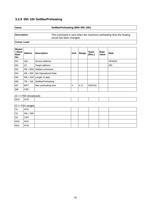# **3.2.9 05h 10h SetMaxPreheating**

| Name:        | SetMaxPreheating (B5h 05h 10h)                                    |
|--------------|-------------------------------------------------------------------|
| Description: | This command is sent when the maximum preheating time the heating |
|              | circuit has been changed.                                         |
| Comm. Load:  |                                                                   |

| <b>Master</b><br>/ Slave<br>Byte-<br>No. | Abbrev.    | <b>Description</b>   | Unit | Range | <b>Type/</b><br>[Res.] | Repl.<br><b>Value</b> | <b>Note</b>   |
|------------------------------------------|------------|----------------------|------|-------|------------------------|-----------------------|---------------|
| M1                                       | QQ         | Source address       |      |       |                        |                       | <b>VRS620</b> |
| M <sub>2</sub>                           | ZZ         | Target address       |      |       |                        |                       | 26h           |
| M3                                       | $PB = B5h$ | Vaillant command     |      |       |                        |                       |               |
| M4                                       | $SB = 05h$ | Set Operational Data |      |       |                        |                       |               |
| M <sub>5</sub>                           | $NN = 02h$ | Length of data       |      |       |                        |                       |               |
| M <sub>6</sub>                           | $TB = 10h$ | SetMaxPreheating     |      |       |                        |                       |               |
| M7                                       | <b>MFT</b> | Max preheating time  | h    | 0.5   | DATA1b                 |                       |               |
| M <sub>8</sub>                           | <b>CRC</b> |                      |      |       |                        |                       |               |

#### $ZZ == FEh$  (broadcast):

|     |                 | ---------- |  |  |  |
|-----|-----------------|------------|--|--|--|
| M10 | <b>CVN</b><br>ີ |            |  |  |  |
|     |                 |            |  |  |  |

| S1             | <b>ACK</b>   |  |  |  |
|----------------|--------------|--|--|--|
| S <sub>2</sub> | $ NN = 00h $ |  |  |  |
| S <sub>3</sub> | <b>CRC</b>   |  |  |  |
| M10            | <b>ACK</b>   |  |  |  |
| M11            | <b>SYN</b>   |  |  |  |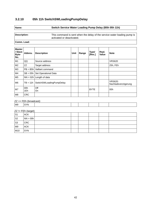# **3.2.10 05h 11h SwitchSWLoadingPumpDelay**

## **Name: Switch Service Water Loading Pump Delay (B5h 05h 11h)**

**Description:** This command is sent when the delay of the service water loading pump is activated or deactivated.

**Comm. Load:**

| <b>Master</b><br>/ Slave<br>Byte-<br>No. | Abbrev.    | <b>Description</b>        | Unit | Range | <b>Type/</b><br>[Res.] | Repl.<br><b>Value</b> | <b>Note</b>                           |
|------------------------------------------|------------|---------------------------|------|-------|------------------------|-----------------------|---------------------------------------|
| M1                                       | QQ         | Source address            |      |       |                        |                       | <b>VRS620</b>                         |
| M <sub>2</sub>                           | ZZ         | Target address            |      |       |                        |                       | 25h, FEh                              |
| M <sub>3</sub>                           | $PB = BBH$ | Vaillant command          |      |       |                        |                       |                                       |
| M4                                       | $SB = 05h$ | Set Operational Data      |      |       |                        |                       |                                       |
| M <sub>5</sub>                           |            | $NN = 02h$ Length of data |      |       |                        |                       |                                       |
| M <sub>6</sub>                           | $TB = 11h$ | SwitchSWLoadingPumpDelay  |      |       |                        |                       | <b>VRS620:</b><br>Nachladeverzögerung |
| M7                                       | 00h<br>1Eh | Off<br><b>On</b>          |      |       | <b>BYTE</b>            |                       | 00h                                   |
| M <sub>8</sub>                           | <b>CRC</b> |                           |      |       |                        |                       |                                       |

#### $ZZ == FEh$  (broadcast):

|--|

| $\vert$ S1 | <b>ACK</b> |  |  |  |
|------------|------------|--|--|--|
| $ $ S2     | $NN = 00h$ |  |  |  |
| $\vert$ S3 | <b>CRC</b> |  |  |  |
| M9         | <b>ACK</b> |  |  |  |
| M10        | <b>SYN</b> |  |  |  |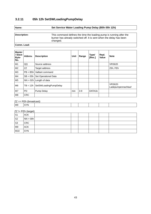# **3.2.11 05h 12h SetSWLoadingPumpDelay**

| <b>Name:</b> |  |  |  |
|--------------|--|--|--|
|              |  |  |  |

# **Name: Set Service Water Loading Pump Delay (B5h 05h 12h)**

**Description:** This command defines the time the loading pump is running after the burner has already switched off. It is sent when the delay has been changed.

#### **Comm. Load:**

| <b>Master</b><br>/ Slave<br>Byte-<br>No. | Abbrev.    | <b>Description</b>        | Unit | Range | <b>Type/</b><br>[Res.] | Repl.<br><b>Value</b> | <b>Note</b>                          |
|------------------------------------------|------------|---------------------------|------|-------|------------------------|-----------------------|--------------------------------------|
| M1                                       | QQ         | Source address            |      |       |                        |                       | <b>VRS620</b>                        |
| M <sub>2</sub>                           | ZZ         | Target address            |      |       |                        |                       | 25h, FEh                             |
| M <sub>3</sub>                           | $PB = B5h$ | Vaillant command          |      |       |                        |                       |                                      |
| M4                                       | $SB = 05h$ | Set Operational Data      |      |       |                        |                       |                                      |
| M <sub>5</sub>                           |            | $NN = 02h$ Length of data |      |       |                        |                       |                                      |
| M <sub>6</sub>                           | $TB = 12h$ | SetSWLoadingPumpDelay     |      |       |                        |                       | <b>VRS620:</b><br>Ladepumpennachlauf |
| M <sub>7</sub>                           | <b>PD</b>  | Pump Delay                | min  | $3-9$ | DATA1b                 |                       |                                      |
| M <sub>8</sub>                           | <b>CRC</b> |                           |      |       |                        |                       |                                      |

#### $ZZ == FEh$  (broadcast):

| M9 | <b>SYN</b> |  |  |  |
|----|------------|--|--|--|
|    |            |  |  |  |

| $ S_1 $            | <b>ACK</b> |  |  |  |
|--------------------|------------|--|--|--|
| $ $ S <sub>2</sub> | $NN = 00h$ |  |  |  |
| $\mid$ S3          | <b>CRC</b> |  |  |  |
| M9                 | <b>ACK</b> |  |  |  |
| M10                | <b>SYN</b> |  |  |  |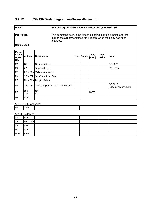# **3.2.12 05h 13h SwitchLegionnairsDiseaseProtection**

| am |  |
|----|--|
|    |  |

# **Name: Switch Legionnaire's Disease Protection (B5h 05h 13h)**

**Description:** This command defines the time the loading pump is running after the burner has already switched off. It is sent when the delay has been changed.

#### **Comm. Load:**

| <b>Master</b><br>/ Slave<br>Byte-<br>No. | Abbrev.    | <b>Description</b>                 | Unit | Range | <b>Type/</b><br>[Res.] | Repl.<br><b>Value</b> | <b>Note</b>                          |
|------------------------------------------|------------|------------------------------------|------|-------|------------------------|-----------------------|--------------------------------------|
| M1                                       | QQ         | Source address                     |      |       |                        |                       | <b>VRS620</b>                        |
| M <sub>2</sub>                           | ZZ         | Target address                     |      |       |                        |                       | 25h, FEh                             |
| M <sub>3</sub>                           |            | $PB = B5h$ Vaillant command        |      |       |                        |                       |                                      |
| M4                                       | $SB = 05h$ | Set Operational Data               |      |       |                        |                       |                                      |
| M <sub>5</sub>                           |            | $NN = 02h$ Length of data          |      |       |                        |                       |                                      |
| M <sub>6</sub>                           | $TB = 13h$ | SwitchLegionnairsDiseaseProtection |      |       |                        |                       | <b>VRS620:</b><br>Ladepumpennachlauf |
| M7                                       | 00h<br>01h | Off<br><b>On</b>                   |      |       | <b>BYTE</b>            |                       |                                      |
| M <sub>8</sub>                           | <b>CRC</b> |                                    |      |       |                        |                       |                                      |

#### $ZZ == FEh$  (broadcast):

|  | M9 | -----<br>∵YN.<br>- - - - |  |  |  |  |  |  |
|--|----|--------------------------|--|--|--|--|--|--|
|--|----|--------------------------|--|--|--|--|--|--|

| 'S1            | <b>ACK</b>   |  |  |  |
|----------------|--------------|--|--|--|
| S <sub>2</sub> | $ NN = 00h $ |  |  |  |
| S <sub>3</sub> | <b>CRC</b>   |  |  |  |
| M <sub>9</sub> | <b>ACK</b>   |  |  |  |
| M10            | <b>SYN</b>   |  |  |  |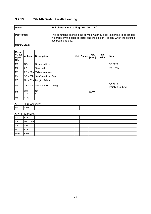# **3.2.13 05h 14h SwitchParallelLoading**

# **Name: Switch Parallel Loading (B5h 05h 14h)**

**Description:** This command defines if the service water cylinder is allowed to be loaded in parallel by the solar collector and the boilder. It is sent when the settings has been changed.

**Comm. Load:**

| <b>Master</b><br>/ Slave<br>Byte-<br>No. | Abbrev.    | <b>Description</b>        | Unit | Range | <b>Type/</b><br>[Res.] | Repl.<br><b>Value</b> | <b>Note</b>                        |
|------------------------------------------|------------|---------------------------|------|-------|------------------------|-----------------------|------------------------------------|
| M1                                       | QQ         | Source address            |      |       |                        |                       | <b>VRS620</b>                      |
| M <sub>2</sub>                           | ZZ         | Target address            |      |       |                        |                       | 25h, FEh                           |
| M3                                       | $PB = B5h$ | Vaillant command          |      |       |                        |                       |                                    |
| M4                                       | $SB = 05h$ | Set Operational Data      |      |       |                        |                       |                                    |
| M <sub>5</sub>                           |            | $NN = 02h$ Length of data |      |       |                        |                       |                                    |
| M <sub>6</sub>                           | $TB = 14h$ | SwitchParallelLoading     |      |       |                        |                       | <b>VRS620:</b><br>Parallele Ladung |
| M7                                       | 00h<br>01h | Off<br>On                 |      |       | <b>BYTE</b>            |                       |                                    |
| M8                                       | <b>CRC</b> |                           |      |       |                        |                       |                                    |

#### $ZZ == FEh$  (broadcast):

| M9 | ™N |  |  |  |
|----|----|--|--|--|
|    |    |  |  |  |

| S1     | <b>ACK</b> |  |  |  |
|--------|------------|--|--|--|
| $ $ S2 | $NN = 00h$ |  |  |  |
| S3     | <b>CRC</b> |  |  |  |
| M9     | <b>ACK</b> |  |  |  |
| M10    | <b>SYN</b> |  |  |  |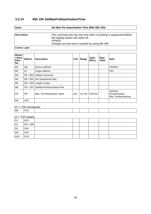# **3.2.14 05h 15h SetMaxPreDeactivationTime**

| Name:               | Set Max Pre Deactivation Time (B5h 05h 23h)                                                                          |  |  |  |  |  |  |
|---------------------|----------------------------------------------------------------------------------------------------------------------|--|--|--|--|--|--|
|                     |                                                                                                                      |  |  |  |  |  |  |
| <b>Description:</b> | This command sets the max time when re-heating is suppressed before<br>the heating system will switch off.<br>VRS620 |  |  |  |  |  |  |
|                     | Changes are also sent in parallel by using 05h 2Bh                                                                   |  |  |  |  |  |  |
| Comm. Load:         |                                                                                                                      |  |  |  |  |  |  |

| <b>Master</b><br>/ Slave<br>Byte-<br>No. | Abbrev.    | <b>Description</b>          | Unit | Range  | <b>Type/</b><br>[Res.] | Repl.<br><b>Value</b> | <b>Note</b>                                           |
|------------------------------------------|------------|-----------------------------|------|--------|------------------------|-----------------------|-------------------------------------------------------|
| M1                                       | QQ         | Source address              |      |        |                        |                       | <b>VRS620</b>                                         |
| M <sub>2</sub>                           | ZZ         | Target address              |      |        |                        |                       | <b>FEh</b>                                            |
| M <sub>3</sub>                           | $PB = B5h$ | Vaillant command            |      |        |                        |                       |                                                       |
| M4                                       | $SB = 05h$ | Set Operational Data        |      |        |                        |                       |                                                       |
| M <sub>5</sub>                           | $NN = 02h$ | Length of data              |      |        |                        |                       |                                                       |
| M <sub>6</sub>                           | $TB = 15h$ | SetMaxPreDeactivationTime   |      |        |                        |                       |                                                       |
| M7                                       | <b>PM</b>  | Max. Pre-Deactivation Value | min  | 15-120 | DATA1b                 |                       | <b>VRS620:</b><br>Gesamtsystem<br>Max. Vorabschaltung |
| M <sub>8</sub>                           | <b>CRC</b> |                             |      |        |                        |                       |                                                       |

 $ZZ == FEh$  (broadcast):

| M <sub>9</sub> | CVM |  |  |  |
|----------------|-----|--|--|--|
|                |     |  |  |  |

| $\vert$ S1         | <b>ACK</b> |  |  |  |
|--------------------|------------|--|--|--|
| $ $ S <sub>2</sub> | $NN = 00h$ |  |  |  |
| $\vert$ S3         | <b>CRC</b> |  |  |  |
| M9                 | ACK        |  |  |  |
| M10                | <b>SYN</b> |  |  |  |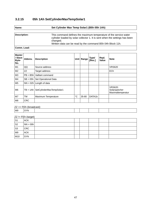# **3.2.15 05h 1Ah SetCylinderMaxTempSolar1**

| Name:        | Set Cylinder Max Temp Solar1 (B5h 05h 1Ah)                                                                                                                                                                                 |  |  |  |  |  |  |
|--------------|----------------------------------------------------------------------------------------------------------------------------------------------------------------------------------------------------------------------------|--|--|--|--|--|--|
|              |                                                                                                                                                                                                                            |  |  |  |  |  |  |
| Description: | This command defines the maximum temperature of the service water<br>cylinder loaded by solar collector 1. It is sent when the settings has been<br>changed.<br>Written data can be read by the command B5h 04h Block 11h. |  |  |  |  |  |  |
|              |                                                                                                                                                                                                                            |  |  |  |  |  |  |

**Comm. Load:**

| <b>Master</b><br>/ Slave<br>Byte-<br>No. | Abbrev.    | <b>Description</b>        | Unit        | Range | <b>Type/</b><br>[Res.] | Repl.<br><b>Value</b> | <b>Note</b>                                          |
|------------------------------------------|------------|---------------------------|-------------|-------|------------------------|-----------------------|------------------------------------------------------|
| M1                                       | QQ         | Source address            |             |       |                        |                       | <b>VRS620</b>                                        |
| M <sub>2</sub>                           | ZZ         | Target address            |             |       |                        |                       | ECh                                                  |
| M <sub>3</sub>                           | $PB = BBH$ | Vaillant command          |             |       |                        |                       |                                                      |
| M4                                       | $SB = 05h$ | Set Operational Data      |             |       |                        |                       |                                                      |
| M <sub>5</sub>                           |            | $NN = 02h$ Length of data |             |       |                        |                       |                                                      |
| M <sub>6</sub>                           | $TB = 1Ah$ | SetCylinderMaxTempSolar1  |             |       |                        |                       | <b>VRS620:</b><br>Solarspeicher<br>Maximaltemperatur |
| M <sub>7</sub>                           | <b>TM</b>  | Maximum Temperature       | $^{\circ}C$ | 35-80 | DATA1b                 |                       |                                                      |
| M <sub>8</sub>                           | <b>CRC</b> |                           |             |       |                        |                       |                                                      |

 $ZZ == FEh$  (broadcast):

|  | M <sub>9</sub> | <b>VN</b> |  |  |  |  |  |  |
|--|----------------|-----------|--|--|--|--|--|--|
|--|----------------|-----------|--|--|--|--|--|--|

| $\vert$ S1         | <b>ACK</b> |  |  |  |
|--------------------|------------|--|--|--|
| $ $ S <sub>2</sub> | $NN = 00h$ |  |  |  |
| $\vert$ S3         | CRC        |  |  |  |
| M9                 | <b>ACK</b> |  |  |  |
| M10                | <b>SYN</b> |  |  |  |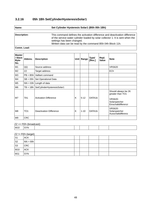# **3.2.16 05h 1Bh SetCylinderHysteresisSolar1**

| Name:        | Set Cylinder Hysteresis Solar1 (B5h 05h 1Bh)                                                                                                                                                                                                             |  |  |  |  |  |  |  |
|--------------|----------------------------------------------------------------------------------------------------------------------------------------------------------------------------------------------------------------------------------------------------------|--|--|--|--|--|--|--|
|              |                                                                                                                                                                                                                                                          |  |  |  |  |  |  |  |
| Description: | This command defines the activation difference and deactivation difference<br>of the service water cylinder loaded by solar collector 1. It is sent when the<br>settings has been changed.<br>Written data can be read by the command B5h 04h Block 11h. |  |  |  |  |  |  |  |

**Comm. Load:**

| <b>Master</b><br>/ Slave<br>Byte-<br>No. | Abbrey.         | <b>Description</b>           |   | Unit   Range | <b>Type/</b><br>[Res.] | Repl.<br><b>Value</b> | <b>Note</b>                                                                                       |
|------------------------------------------|-----------------|------------------------------|---|--------------|------------------------|-----------------------|---------------------------------------------------------------------------------------------------|
| M1                                       | QQ              | Source address               |   |              |                        |                       | <b>VRS620</b>                                                                                     |
| M <sub>2</sub>                           | ZZ              | Target address               |   |              |                        |                       | ECh                                                                                               |
| M3                                       | $PB = BB$       | Vaillant command             |   |              |                        |                       |                                                                                                   |
| M4                                       | $SB = 05h$      | Set Operational Data         |   |              |                        |                       |                                                                                                   |
| M <sub>5</sub>                           |                 | $NN = 03h$ Length of data    |   |              |                        |                       |                                                                                                   |
| M <sub>6</sub>                           | $TB = 1Bh$      | SetCylinderHysteresisSolar1  |   |              |                        |                       |                                                                                                   |
| M7                                       | TA1             | <b>Activation Difference</b> | K | $5 - 12$     | DATA1b                 |                       | Should always be 2K<br>greater than TO1<br><b>VRS620:</b><br>Solarspeicher<br>Einschaltdifferenzr |
| M8                                       | TO <sub>1</sub> | Deactivation Difference      | K | $1 - 10$     | DATA1b                 |                       | <b>VRS620:</b><br>Solarspeicher<br>Ausschaltdifferenz                                             |
| M9                                       | <b>CRC</b>      |                              |   |              |                        |                       |                                                                                                   |

#### $ZZ == FEh$  (broadcast):

 $M10$  SYN

| S <sub>1</sub> | <b>ACK</b> |  |  |  |
|----------------|------------|--|--|--|
| $ $ S2         | $NN = 00h$ |  |  |  |
| S3             | <b>CRC</b> |  |  |  |
| M10            | <b>ACK</b> |  |  |  |
| M11            | <b>SYN</b> |  |  |  |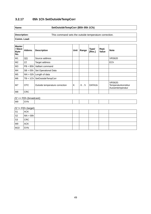# **3.2.17 05h 1Ch SetOutsideTempCorr**

## **Name: SetOutsideTempCorr (B5h 05h 1Ch)**

#### **Description:** This command sets the outside temperature correction.

**Comm. Load:**

| <b>Master</b><br>/ Slave<br>Byte-<br>No. | Abbrev.    | <b>Description</b>             | Unit | Range  | <b>Type/</b><br>[Res.] | Repl.<br><b>Value</b> | <b>Note</b>                                               |
|------------------------------------------|------------|--------------------------------|------|--------|------------------------|-----------------------|-----------------------------------------------------------|
| M1                                       | QQ         | Source address                 |      |        |                        |                       | <b>VRS620</b>                                             |
| M <sub>2</sub>                           | ZZ         | Target address                 |      |        |                        |                       | ECh                                                       |
| M <sub>3</sub>                           | $PB = BBH$ | Vaillant command               |      |        |                        |                       |                                                           |
| M4                                       | $SB = 05h$ | Set Operational Data           |      |        |                        |                       |                                                           |
| M <sub>5</sub>                           |            | $NN = 02h$ Length of data      |      |        |                        |                       |                                                           |
| M <sub>6</sub>                           |            | $TB = 1Ch$ SetOutsideTempCorr  |      |        |                        |                       |                                                           |
| M7                                       | <b>OTC</b> | Outside temperature correction | K    | $-5.5$ | DATA1b                 |                       | <b>VRS620:</b><br>Temperaturkorrektur<br>Aussentemperatur |
| M <sub>8</sub>                           | <b>CRC</b> |                                |      |        |                        |                       |                                                           |

 $ZZ = FEh$  (broadcast):

 $\log$  SYN

| $\vert$ S1     | _______<br><b>ACK</b> |  |  |  |
|----------------|-----------------------|--|--|--|
| S <sub>2</sub> | $NN = 00h$            |  |  |  |
| $\mid$ S3      | <b>CRC</b>            |  |  |  |
| M9             | <b>ACK</b>            |  |  |  |
| M10            | <b>SYN</b>            |  |  |  |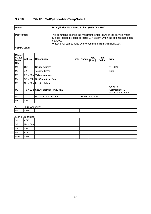# **3.2.18 05h 1Dh SetCylinderMaxTempSolar2**

| Name:        | Set Cylinder Max Temp Solar2 (B5h 05h 1Dh)                                                                                                                                                                                 |  |  |  |  |  |  |
|--------------|----------------------------------------------------------------------------------------------------------------------------------------------------------------------------------------------------------------------------|--|--|--|--|--|--|
|              |                                                                                                                                                                                                                            |  |  |  |  |  |  |
| Description: | This command defines the maximum temperature of the service water<br>cylinder loaded by solar collector 2. It is sent when the settings has been<br>changed.<br>Written data can be read by the command B5h 04h Block 11h. |  |  |  |  |  |  |
|              |                                                                                                                                                                                                                            |  |  |  |  |  |  |

**Comm. Load:**

| <b>Master</b><br>/ Slave<br>Byte-<br>No. | Abbrev.     | <b>Description</b>        | Unit        | Range | <b>Type/</b><br>[Res.] | Repl.<br><b>Value</b> | <b>Note</b>                                            |
|------------------------------------------|-------------|---------------------------|-------------|-------|------------------------|-----------------------|--------------------------------------------------------|
| M1                                       | QQ          | Source address            |             |       |                        |                       | <b>VRS620</b>                                          |
| M <sub>2</sub>                           | ZZ          | Target address            |             |       |                        |                       | ECh                                                    |
| M <sub>3</sub>                           | $PB = BBH$  | Vaillant command          |             |       |                        |                       |                                                        |
| M4                                       | $SB = 05h$  | Set Operational Data      |             |       |                        |                       |                                                        |
| M <sub>5</sub>                           |             | $NN = 02h$ Length of data |             |       |                        |                       |                                                        |
| M <sub>6</sub>                           | $TB = 1 Dh$ | SetCylinderMaxTempSolar2  |             |       |                        |                       | <b>VRS620:</b><br>Solarspeicher 2<br>Maximaltemperatur |
| M <sub>7</sub>                           | <b>TM</b>   | Maximum Temperature       | $^{\circ}C$ | 35-80 | DATA1b                 |                       |                                                        |
| M <sub>8</sub>                           | <b>CRC</b>  |                           |             |       |                        |                       |                                                        |

 $ZZ = FEh$  (broadcast):

| M <sub>9</sub> | <b>CVN</b><br>$\sim$ |  |  |  |  |  |  |
|----------------|----------------------|--|--|--|--|--|--|
|                |                      |  |  |  |  |  |  |

| $\vert$ S1         | <b>ACK</b> |  |  |  |
|--------------------|------------|--|--|--|
| $ $ S <sub>2</sub> | $NN = 00h$ |  |  |  |
| $\vert$ S3         | CRC        |  |  |  |
| M9                 | <b>ACK</b> |  |  |  |
| M10                | <b>SYN</b> |  |  |  |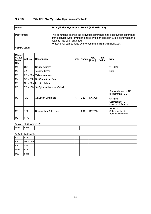# **3.2.19 05h 1Eh SetCylinderHysteresisSolar2**

| Name:        | Set Cylinder Hysteresis Solar2 (B5h 05h 1Eh)                                                                                                                                                                                                             |  |  |  |  |  |  |
|--------------|----------------------------------------------------------------------------------------------------------------------------------------------------------------------------------------------------------------------------------------------------------|--|--|--|--|--|--|
|              |                                                                                                                                                                                                                                                          |  |  |  |  |  |  |
| Description: | This command defines the activation difference and deactivation difference<br>of the service water cylinder loaded by solar collector 2. It is sent when the<br>settings has been changed.<br>Written data can be read by the command B5h 04h Block 11h. |  |  |  |  |  |  |

**Comm. Load:**

| <b>Master</b><br>/ Slave<br>Byte-<br>No. | Abbrey.         | <b>Description</b>             |   | Unit   Range | <b>Type/</b><br>[Res.] | Repl.<br><b>Value</b> | <b>Note</b>                                                                                         |
|------------------------------------------|-----------------|--------------------------------|---|--------------|------------------------|-----------------------|-----------------------------------------------------------------------------------------------------|
| M1                                       | QQ              | Source address                 |   |              |                        |                       | <b>VRS620</b>                                                                                       |
| M <sub>2</sub>                           | ZZ              | Target address                 |   |              |                        |                       | ECh                                                                                                 |
| M <sub>3</sub>                           | $PB = B5h$      | Vaillant command               |   |              |                        |                       |                                                                                                     |
| M4                                       | $SB = 05h$      | Set Operational Data           |   |              |                        |                       |                                                                                                     |
| M <sub>5</sub>                           |                 | $NN = 03h$ Length of data      |   |              |                        |                       |                                                                                                     |
| M <sub>6</sub>                           | $TB = 1Eh$      | SetCylinderHysteresisSolar2    |   |              |                        |                       |                                                                                                     |
| M7                                       | TA <sub>2</sub> | <b>Activation Difference</b>   | K | $5 - 12$     | DATA1b                 |                       | Should always be 2K<br>greater than TO1<br><b>VRS620:</b><br>Solarspeicher 2<br>Einschaltdifferenzr |
| M <sub>8</sub>                           | TO <sub>2</sub> | <b>Deactivation Difference</b> | K | $1 - 10$     | DATA1b                 |                       | <b>VRS620:</b><br>Solarspeicher 2<br>Ausschaltdifferenz                                             |
| M <sub>9</sub>                           | <b>CRC</b>      |                                |   |              |                        |                       |                                                                                                     |

## $ZZ = FEh$  (broadcast):

| M10 | <b>SYN</b> |
|-----|------------|

| $\vert$ S1         | $\sim$ $\sim$ $\sim$<br><b>ACK</b> |  |  |  |
|--------------------|------------------------------------|--|--|--|
| $ $ S <sub>2</sub> | $NN = 00h$                         |  |  |  |
| $\mid$ S3          | <b>CRC</b>                         |  |  |  |
| M10                | ACK                                |  |  |  |
| M11                | <b>SYN</b>                         |  |  |  |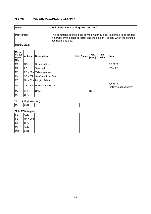#### **3.2.20 05h 20h ResetSolarYieldKOL1**

# **Name: Switch Parallel Loading (B5h 05h 20h)**

**Description:** This command defines if the service water cylinder is allowed to be loaded in parallel by the solar collector and the boilder. It is sent when the settings has been changed.

**Comm. Load:**

| <b>Master</b><br>/ Slave<br>Byte-<br>No. | Abbrev.    | <b>Description</b>              | <b>Unit</b> | Range | <b>Type/</b><br>[Res.] | Repl.<br><b>Value</b> | <b>Note</b>                              |
|------------------------------------------|------------|---------------------------------|-------------|-------|------------------------|-----------------------|------------------------------------------|
| M1                                       | QQ         | Source address                  |             |       |                        |                       | <b>VRS620</b>                            |
| M <sub>2</sub>                           | ZZ         | Target address                  |             |       |                        |                       | ECh, FEh                                 |
| M <sub>3</sub>                           |            | $PB = B5h$ Vaillant command     |             |       |                        |                       |                                          |
| M4                                       |            | $SB = 05h$ Set Operational Data |             |       |                        |                       |                                          |
| M <sub>5</sub>                           |            | $NN = 02h$ Length of data       |             |       |                        |                       |                                          |
| M <sub>6</sub>                           | $TB = 20h$ | ResetSolarYieldKOL1             |             |       |                        |                       | <b>VRS620:</b><br>Solarertrag Rücksetzen |
| M <sub>7</sub>                           | 01h        | Reset                           |             |       | <b>BYTE</b>            |                       |                                          |
| M <sub>8</sub>                           | <b>CRC</b> |                                 |             |       |                        |                       |                                          |

#### $ZZ == FEh$  (broadcast):

| M9 | $\cdots$<br>'VN.<br>$\sim$ $\sim$ |  |  |  |
|----|-----------------------------------|--|--|--|
|    |                                   |  |  |  |

| $\mathsf{S}1$ | <b>ACK</b> |  |  |  |
|---------------|------------|--|--|--|
| S2            | $NN = 00h$ |  |  |  |
| $\vert$ S3    | <b>CRC</b> |  |  |  |
| M9            | <b>ACK</b> |  |  |  |
| M10           | <b>SYN</b> |  |  |  |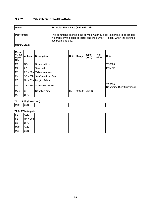## **3.2.21 05h 21h SetSolarFlowRate**

#### **Name: Set Solar Flow Rate (B5h 05h 21h)**

**Description:** This command defines if the service water cylinder is allowed to be loaded in parallel by the solar collector and the burner. It is sent when the settings has been changed.

**Comm. Load:**

| <b>Master</b><br>/ Slave<br>Byte-<br>No. | Abbrey.    | <b>Description</b>        | Unit | Range  | <b>Type/</b><br>[Res.] | Repl.<br><b>Value</b> | <b>Note</b>                                   |
|------------------------------------------|------------|---------------------------|------|--------|------------------------|-----------------------|-----------------------------------------------|
| M1                                       | QQ         | Source address            |      |        |                        |                       | <b>VRS620</b>                                 |
| M <sub>2</sub>                           | ZZ         | Target address            |      |        |                        |                       | ECh, FEh                                      |
| M <sub>3</sub>                           | $PB = B5h$ | Vaillant command          |      |        |                        |                       |                                               |
| M4                                       | $SB = 05h$ | Set Operational Data      |      |        |                        |                       |                                               |
| M <sub>5</sub>                           |            | $NN = 03h$ Length of data |      |        |                        |                       |                                               |
| M <sub>6</sub>                           | $TB = 21h$ | SetSolarFlowRate          |      |        |                        |                       | <b>VRS620:</b><br>Solarertrag Durchflussmenge |
| M7-8                                     | <b>SF</b>  | Solar flow rate           | l/h  | 0-9990 | <b>WORD</b>            |                       |                                               |
| M <sub>9</sub>                           | <b>CRC</b> |                           |      |        |                        |                       |                                               |

#### $ZZ == FEh$  (broadcast):

|     |                             | ---------- |  |  |  |
|-----|-----------------------------|------------|--|--|--|
| M10 | <b>SYN</b><br>. ب<br>$   -$ |            |  |  |  |
|     |                             |            |  |  |  |

| S <sub>1</sub> | <b>ACK</b> |  |  |  |
|----------------|------------|--|--|--|
| $ $ S2         | $NN = 00h$ |  |  |  |
| $\mid$ S3      | <b>CRC</b> |  |  |  |
| M10            | <b>ACK</b> |  |  |  |
| M11            | <b>SYN</b> |  |  |  |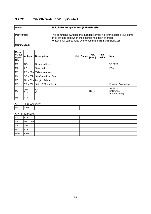## **3.2.22 05h 23h SwitchEDPumpControl**

## **Name: Switch ED Pump Control (B5h 05h 23h)**

**Description:** This command switches the duration controlling for the solar circuit pump on or off. It is sent when the settings has been changed. Written data can be read by the command B5h 04h Block 13h.

#### **Comm. Load:**

| <b>Master</b><br>/ Slave<br>Byte-<br>No. | Abbrey.    | <b>Description</b>        | <b>Unit</b> | Range | <b>Type/</b><br>[Res.] | Repl.<br><b>Value</b> | <b>Note</b>                                  |
|------------------------------------------|------------|---------------------------|-------------|-------|------------------------|-----------------------|----------------------------------------------|
| M1                                       | QQ         | Source address            |             |       |                        |                       | <b>VRS620</b>                                |
| M <sub>2</sub>                           | ZZ         | Target address            |             |       |                        |                       | ECh                                          |
| M3                                       | $PB = B5h$ | Vaillant command          |             |       |                        |                       |                                              |
| M4                                       | $SB = 05h$ | Set Operational Data      |             |       |                        |                       |                                              |
| M <sub>5</sub>                           |            | $NN = 02h$ Length of data |             |       |                        |                       |                                              |
| M <sub>6</sub>                           | $TB = 23h$ | SwitchEDPumpControl       |             |       |                        |                       | <b>Duration Controlling</b>                  |
| M7                                       | 00h<br>01h | Off<br>On                 |             |       | <b>BYTE</b>            |                       | <b>VRS620:</b><br>Solarkreis<br>ED-Steuerung |
| M <sub>8</sub>                           | <b>CRC</b> |                           |             |       |                        |                       |                                              |

#### $ZZ == FEh$  (broadcast):

| M9 | $-$<br>'VN. |  |  |  |
|----|-------------|--|--|--|
|    |             |  |  |  |

| S <sub>1</sub> | <b>ACK</b> |  |  |  |
|----------------|------------|--|--|--|
| S2             | $NN = 00h$ |  |  |  |
| S <sub>3</sub> | <b>CRC</b> |  |  |  |
| M <sub>9</sub> | <b>ACK</b> |  |  |  |
| M10            | <b>SYN</b> |  |  |  |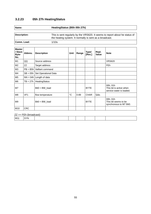# **3.2.23 05h 27h HeatingStatus**

| <b>Name:</b> | HeatingStatus (B5h 05h 27h)                                                                                                            |
|--------------|----------------------------------------------------------------------------------------------------------------------------------------|
|              |                                                                                                                                        |
| Description: | This is sent regularly by the VRS620. It seems to report about he status of<br>the heating system. It normally is sent as a broadcast. |
| Comm. Load:  | 1/10s                                                                                                                                  |

| <b>Master</b><br>/ Slave<br>Byte-<br>No. | Abbrev.         | <b>Description</b>        | Unit        | Range    | <b>Type/</b><br>[Res.] | Repl.<br><b>Value</b> | <b>Note</b>                                                     |
|------------------------------------------|-----------------|---------------------------|-------------|----------|------------------------|-----------------------|-----------------------------------------------------------------|
| M1                                       | QQ              | Source address            |             |          |                        |                       | <b>VRS620</b>                                                   |
| M <sub>2</sub>                           | ZZ              | Target address            |             |          |                        |                       | FEh                                                             |
| M3                                       | $PB = BB$       | Vaillant command          |             |          |                        |                       |                                                                 |
| M4                                       | $SB = 05h$      | Set Operational Data      |             |          |                        |                       |                                                                 |
| M <sub>5</sub>                           |                 | $NN = 04h$ Length of data |             |          |                        |                       |                                                                 |
| M <sub>6</sub>                           | $TB = 27h$      | HeatingStatus             |             |          |                        |                       |                                                                 |
| M7                                       |                 | $Bit0 = BW$ load          |             |          | <b>BYTE</b>            |                       | 00h, 01h<br>This bit is active when<br>service water is loaded. |
| M <sub>8</sub>                           | VF <sub>1</sub> | flow temperature          | $^{\circ}C$ | $0 - 89$ | <b>CHAR</b>            | 5Ah                   |                                                                 |
| M <sub>9</sub>                           |                 | $Bit0 = BW$ load          |             |          | <b>BYTE</b>            |                       | 00h, 01h<br>This bit seems to be<br>synchronous to M7 Bit0.     |
| M10                                      | <b>CRC</b>      |                           |             |          |                        |                       |                                                                 |

#### $ZZ == FEh$  (broadcast):

| $\mid$ M11 | <b>SYN</b> |  |  |  |  |  |  |
|------------|------------|--|--|--|--|--|--|
|------------|------------|--|--|--|--|--|--|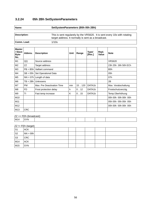# **3.2.24 05h 2Bh SetSystemParameters**

| Name |  |
|------|--|
|      |  |

## **Name: SetSystemParameters (B5h 05h 2Bh)**

| <b>Description:</b> | This is sent regularely by the VRS620. It is sent every 10s with rotating<br>target address. It normally is sent as a broadcast. |
|---------------------|----------------------------------------------------------------------------------------------------------------------------------|
| Comm. Load:         | 1/10s                                                                                                                            |

| <b>Master</b><br>/ Slave<br>Byte-<br>No. | Abbrev.    | <b>Description</b>         | Unit | Range  | <b>Type/</b><br>[Res.] | Repl.<br><b>Value</b> | <b>Note</b>         |
|------------------------------------------|------------|----------------------------|------|--------|------------------------|-----------------------|---------------------|
| M1                                       | QQ         | Source address             |      |        |                        |                       | <b>VRS620</b>       |
| M <sub>2</sub>                           | ZZ         | Target address             |      |        |                        |                       | 23h 25h 26h 50h ECh |
| M3                                       | $PB = BBh$ | Vaillant command           |      |        |                        |                       | B <sub>5</sub> h    |
| M4                                       | $SB = 05h$ | Set Operational Data       |      |        |                        |                       | 05h                 |
| M <sub>5</sub>                           | $NN = 07h$ | Length of data             |      |        |                        |                       | 07h                 |
| M6                                       | $TB = 2Bh$ | Unknowns                   |      |        |                        |                       | 2B                  |
| M7                                       | <b>PM</b>  | Max. Pre Deactivation Time | min  | 15.120 | DATA1b                 |                       | Max. Vorabschaltung |
| M <sub>8</sub>                           | <b>FD</b>  | Frost protection delay     | h    | 0.12   | DATA1b                 |                       | Frostschutzverzög.  |
| M <sub>9</sub>                           | ΤI         | Fast temp increase         | K    | 0.15   | DATA1b                 |                       | Temp. Überhöhung    |
| M10                                      |            |                            |      |        |                        |                       | 00h 00h 00h 00h 00h |
| M11                                      |            |                            |      |        |                        |                       | 05h 05h 05h 05h 05h |
| M12                                      |            |                            |      |        |                        |                       | 00h 00h 00h 00h 00h |
| M13                                      | <b>CRC</b> |                            |      |        |                        |                       |                     |

 $ZZ = FEh$  (broadcast):

 $\vert$  M14  $\vert$  SYN

| $ZZ := FEh$ (target) |
|----------------------|
|----------------------|

| S <sub>1</sub>     | ົ່ນ ອີາ<br><b>ACK</b> |  |  |  |
|--------------------|-----------------------|--|--|--|
| $ $ S <sub>2</sub> | $NN = 00h$            |  |  |  |
| $ $ S3             | <b>CRC</b>            |  |  |  |
| M14                | <b>ACK</b>            |  |  |  |
| M15                | <b>SYN</b>            |  |  |  |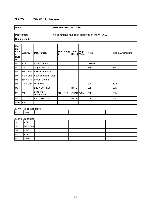#### **3.2.25 05h 2Dh Unknown**

**Name: Unknown (B5h 05h 2Dh)**

**Comm. Load:**

**Description:** This command has been observed at the VRS620.

**Mast er/ Slav e Byte-No. Abbrev. Description t Rang Type/ e [Res.] Repl. Note** (Raumaufschaltung) M1 QQ Source address VRS620 M2 ZZ Target address | | | | | 26h | 26h M3  $|PB = B5h$  Vaillant command  $MA$  SB = 05h Set Operational Data M5  $|NN = 04h$  Length of data M6 TB = 2Dh Unknown 2D 2Dh M7 | Bit0 = BW\_load | | BYTE 00h | E6h  $MS$   $VT$   $\begin{array}{ccc} \end{array}$  Lead water Lead water  $\begin{vmatrix} \circ \\ \circ \end{vmatrix}$  o-89  $\begin{vmatrix}$  CHAR 5Ah 00h FFh M9 Bit0 = BW\_load Bit0 = BW\_load Bit0 = BW\_load Bit0 = BW\_load Bit0 = BW\_load Bit0 = BW\_load Bit0 = BW\_load Bit0 = BW\_load Bit0 = BW\_load Bit0 = BW\_load Bit0 = BW\_load Bit0 = BW\_load Bit0 = BW\_load Bit0 = BW\_load Bit0 = BW  $M10$  CRC

 $ZZ == FEh$  (broadcast):

| M11 |
|-----|
|-----|

| S1             | <b>ACK</b> |  |  |  |
|----------------|------------|--|--|--|
| S <sub>2</sub> | $NN = 00h$ |  |  |  |
| S3             | <b>CRC</b> |  |  |  |
| M11            | <b>ACK</b> |  |  |  |
| M12            | <b>SYN</b> |  |  |  |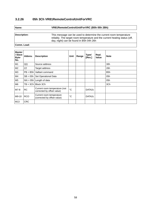## **3.2.26 05h 3Ch VR81RemoteControlUnitForVRC**

| am |  |  |
|----|--|--|
|    |  |  |

#### **Name: VR81RemoteControlUnitForVRC (B5h 05h 2Bh)**

**Description:** This message can be used to determine the current room temperature reliably. The target room temperature and the current heating status (off, day, night) can be found in B5h 04h 26h

| <b>Master</b><br>/ Slave<br>Byte-<br>No. | Abbrev.    | <b>Description</b>                                          | Unit        | Range | <b>Type/</b><br>[Res.] | Repl.<br><b>Value</b> | <b>Note</b>      |
|------------------------------------------|------------|-------------------------------------------------------------|-------------|-------|------------------------|-----------------------|------------------|
|                                          |            |                                                             |             |       |                        |                       |                  |
| M1                                       | QQ         | Source address                                              |             |       |                        |                       | 30h              |
| M <sub>2</sub>                           | ZZ         | Target address                                              |             |       |                        |                       | 26h              |
| M3                                       | $PB = BBh$ | Vaillant command                                            |             |       |                        |                       | B <sub>5</sub> h |
| M4                                       | $SB = 05h$ | Set Operational Data                                        |             |       |                        |                       | 05h              |
| M <sub>5</sub>                           |            | $NN = 05h$ Length of data                                   |             |       |                        |                       | 05h              |
| M <sub>6</sub>                           | $TB = 3Ch$ | Block 3Ch                                                   |             |       |                        |                       | 3Ch              |
| M7-8                                     | <b>RC</b>  | Current room temperature (not<br>corrected by offset value) | $^{\circ}C$ |       | DATA <sub>2c</sub>     |                       |                  |
| M9-10                                    | <b>RCO</b> | Current room temperature<br>(corrected by offset value)     | $^{\circ}C$ |       | DATA <sub>2c</sub>     |                       |                  |
| M13                                      | <b>CRC</b> |                                                             |             |       |                        |                       |                  |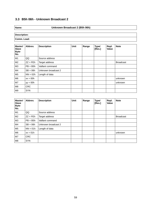# **3.3 B5h 06h - Unknown Broadcast 2**

## **Name: Unknown Broadcast 2 (B5h 06h)**

**Description: Comm. Load:**

| <b>Master/</b><br><b>Slave</b><br>Byte-<br>No. | Abbrev.      | <b>Description</b>  | Unit | Range | <b>Type/</b><br>[Res.] | Repl.<br>Value | <b>Note</b>      |
|------------------------------------------------|--------------|---------------------|------|-------|------------------------|----------------|------------------|
| M1                                             | QQ           | Source address      |      |       |                        |                |                  |
| M <sub>2</sub>                                 | $ZZ = F E h$ | Target address      |      |       |                        |                | <b>Broadcast</b> |
| M3                                             | $PB = BBh$   | Vaillant command    |      |       |                        |                |                  |
| M4                                             | $SB = 06h$   | Unknown broadcast 2 |      |       |                        |                |                  |
| M <sub>5</sub>                                 | $NN = 02h$   | Length of data      |      |       |                        |                |                  |
| M6                                             | $xx = 00h$   |                     |      |       |                        |                | unknown          |
| M7                                             | $yy = 00h$   |                     |      |       |                        |                | unknown          |
| M <sub>8</sub>                                 | <b>CRC</b>   |                     |      |       |                        |                |                  |
| M9                                             | <b>SYN</b>   |                     |      |       |                        |                |                  |

| <b>Master/</b><br><b>Slave</b><br>Byte-<br>No. | Abbrev.      | <b>Description</b>  | Unit | Range | <b>Type/</b><br>[Res.] | Repl.<br><b>Value</b> | <b>Note</b>      |
|------------------------------------------------|--------------|---------------------|------|-------|------------------------|-----------------------|------------------|
| M1                                             | QQ           | Source address      |      |       |                        |                       |                  |
| M <sub>2</sub>                                 | $ZZ = F E h$ | Target address      |      |       |                        |                       | <b>Broadcast</b> |
| ΜЗ                                             | $PB = BBh$   | Vaillant command    |      |       |                        |                       |                  |
| M4                                             | $SB = 06h$   | Unknown broadcast 2 |      |       |                        |                       |                  |
| M <sub>5</sub>                                 | $NN = 01h$   | Length of data      |      |       |                        |                       |                  |
| M6                                             | $xx = 01h$   |                     |      |       |                        |                       | unknown          |
| M7                                             | <b>CRC</b>   |                     |      |       |                        |                       |                  |
| M <sub>8</sub>                                 | <b>SYN</b>   |                     |      |       |                        |                       |                  |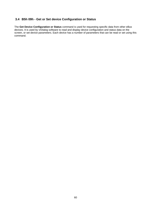## **3.4 B5h 09h - Get or Set device Configuration or Status**

The **Get Device Configuration or Status** command is used for requesting specific data from other eBus devices. It is used by vrDialog software to read and display device configuration and status data on the screen, or set device parameters. Each device has a number of parameters that can be read or set using this command.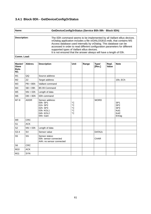# **3.4.1 Block 0Dh - GetDeviceConfigOrStatus**

| Name:        | GetDeviceConfigOrStatus (Service B5h 09h - Block 0Dh)                                                                                                                                                                                                                                                                                                                                                                  |  |  |  |  |  |
|--------------|------------------------------------------------------------------------------------------------------------------------------------------------------------------------------------------------------------------------------------------------------------------------------------------------------------------------------------------------------------------------------------------------------------------------|--|--|--|--|--|
| Description: | The 0Dh command seems to be implemented by all Vaillant eBus devices.<br>vrDialog application includes a file vrDIALOG810.mdb, that contains MS<br>Access database used internally by vrDialog. This database can be<br>accessed in order to read different configuration parameters for different<br>supported types of Vaillant eBus devices.<br>It is not ensured that the answer always will have a length of 03h. |  |  |  |  |  |

| Master/<br><b>Slave</b><br>Byte-<br>No. | Abbrev.     | <b>Description</b>                                                                         | Unit                          | Range | <b>Type/</b><br>[Res.] | Repl.<br><b>Value</b> | <b>Note</b>                                                                     |
|-----------------------------------------|-------------|--------------------------------------------------------------------------------------------|-------------------------------|-------|------------------------|-----------------------|---------------------------------------------------------------------------------|
| M1                                      | QQ          | Source address                                                                             |                               |       |                        |                       |                                                                                 |
| M <sub>2</sub>                          | ZZ          | Target address                                                                             |                               |       |                        |                       | 15h, ECh                                                                        |
| M <sub>3</sub>                          | $PB = B5h$  | Vaillant command                                                                           |                               |       |                        |                       |                                                                                 |
| M4                                      | $SB = 09h$  | B5 09 Command                                                                              |                               |       |                        |                       |                                                                                 |
| M <sub>5</sub>                          | $NN = 03h$  | Length of data                                                                             |                               |       |                        |                       |                                                                                 |
| M <sub>6</sub>                          | $DB = 0 Dh$ | 0Dh command                                                                                |                               |       |                        |                       |                                                                                 |
| M7-8                                    | <b>ADDR</b> | Sensor address:<br>00h: SP1<br>01h: SP2<br>02h: SP3<br>03h: KOL1<br>04h: KOL2<br>05h: Gain | $^{\circ}C$<br>°C<br>°C<br>°C |       | <b>WORD</b>            |                       | SP <sub>1</sub><br>SP <sub>2</sub><br>SP <sub>3</sub><br>Kol1<br>Kol2<br>Ertrag |
| M <sub>9</sub>                          | <b>CRC</b>  |                                                                                            |                               |       |                        |                       |                                                                                 |
| S1                                      | <b>ACK</b>  |                                                                                            |                               |       |                        |                       |                                                                                 |
| S <sub>2</sub>                          | $NN = 03h$  | Length of data                                                                             |                               |       |                        |                       |                                                                                 |
| $S3-4$                                  | <b>SV</b>   | Sensor value                                                                               |                               |       | DATA <sub>2c</sub>     |                       |                                                                                 |
| S <sub>5</sub>                          | SS          | Sensor status:<br>00h: sensor connected<br>AAh: no sensor connected                        |                               |       | <b>CHAR</b>            |                       |                                                                                 |
| S <sub>6</sub>                          | <b>CRC</b>  |                                                                                            |                               |       |                        |                       |                                                                                 |
| M10                                     | <b>ACK</b>  |                                                                                            |                               |       |                        |                       |                                                                                 |
| M11                                     | <b>SYN</b>  |                                                                                            |                               |       |                        |                       |                                                                                 |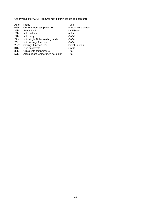Other values for ADDR (answer may differ in length and content):

| Addr | Name                              | <b>Type</b>         |
|------|-----------------------------------|---------------------|
| OFh: | Current room temperature          | temperature sensor  |
| 26h: | <b>Status DCF</b>                 | <b>DCFState</b>     |
| 28h: | Is in holiday                     | uchar               |
| 29h: | Is in party                       | OnOff               |
| 2Ah: | Is in single DHW loading mode     | OnOff               |
| 2Ch: | Is in savings function            | OnOff               |
| 2Dh: | Savings function time             | <b>SaveFunction</b> |
| 31h: | Is in quick veto                  | OnOff               |
| 32h  | Quick veto temperature            | Tite                |
| 57h: | Actual room temperature set point | Tite                |
|      |                                   |                     |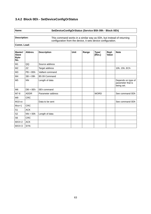# **3.4.2 Block 0Eh - SetDeviceConfigOrStatus**

**Name: SetDeviceConfigOrStatus (Service B5h 09h - Block 0Eh)**

**Description:** This command works in a similar way as 0Dh, but instead of returning configuration from the device, it sets device configuration.

| <b>Master/</b><br><b>Slave</b><br>Byte-<br>No. | Abbrev.     | <b>Description</b> | Unit | Range | <b>Type/</b><br>[Res.] | Repl.<br><b>Value</b> | <b>Note</b>                                           |
|------------------------------------------------|-------------|--------------------|------|-------|------------------------|-----------------------|-------------------------------------------------------|
| M1                                             | QQ          | Source address     |      |       |                        |                       |                                                       |
| M <sub>2</sub>                                 | ZZ          | Target address     |      |       |                        |                       | 10h, 15h, ECh                                         |
| M <sub>3</sub>                                 | $PB = B5h$  | Vaillant command   |      |       |                        |                       |                                                       |
| M4                                             | $SB = 09h$  | B5 09 Command      |      |       |                        |                       |                                                       |
| M <sub>5</sub>                                 | <b>NN</b>   | Length of data     |      |       |                        |                       | Depends on type of<br>parameter that is<br>being set. |
| M <sub>6</sub>                                 | $DB = 0Eh$  | 0Eh command        |      |       |                        |                       |                                                       |
| M7-8                                           | <b>ADDR</b> | Parameter address  |      |       | <b>WORD</b>            |                       | See command 0Dh                                       |
| M <sub>9</sub>                                 | <b>CRC</b>  |                    |      |       |                        |                       |                                                       |
| $M10-xx$                                       |             | Data to be sent    |      |       |                        |                       | See command 0Dh                                       |
| $Mxx+1$                                        | <b>CRC</b>  |                    |      |       |                        |                       |                                                       |
| S1                                             | <b>ACK</b>  |                    |      |       |                        |                       |                                                       |
| S <sub>2</sub>                                 | $NN = 00h$  | Length of data     |      |       |                        |                       |                                                       |
| S <sub>6</sub>                                 | <b>CRC</b>  |                    |      |       |                        |                       |                                                       |
| $MXX+2$                                        | <b>ACK</b>  |                    |      |       |                        |                       |                                                       |
| $MXX+3$                                        | <b>SYN</b>  |                    |      |       |                        |                       |                                                       |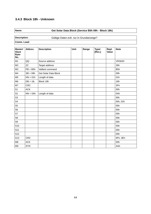# **3.4.3 Block 18h - Unknown**

## **Name: Get Solar Data Block (Service B5h 09h - Block 18h)**

Description: **Description:** Gültige Daten evtl. nur in Grundanzeige?

| Master/<br><b>Slave</b><br>Byte-<br>No. | Abbrev.     | <b>Description</b>   | <b>Unit</b> | Range | <b>Type/</b><br>[Res.] | Repl.<br>Value | <b>Note</b>      |
|-----------------------------------------|-------------|----------------------|-------------|-------|------------------------|----------------|------------------|
| M1                                      | QQ          | Source address       |             |       |                        |                | <b>VRS620</b>    |
| M <sub>2</sub>                          | ZZ          | Target address       |             |       |                        |                | 26h              |
| M <sub>3</sub>                          | $PB = B5h$  | Vaillant command     |             |       |                        |                | B <sub>5</sub> h |
| M4                                      | $SB = 09h$  | Get Solar Data Block |             |       |                        |                | 09h              |
| M <sub>5</sub>                          | $NN = 01h$  | Length of data       |             |       |                        |                | 01h              |
| M <sub>6</sub>                          | $DB = 18h$  | Block 18h            |             |       |                        |                | 18h              |
| M7                                      | <b>CRC</b>  |                      |             |       |                        |                | 3Fh              |
| S1                                      | <b>ACK</b>  |                      |             |       |                        |                | 00h              |
| S <sub>2</sub>                          | $NN = 0$ Ah | Length of data       |             |       |                        |                | 0Ah              |
| S <sub>3</sub>                          |             |                      |             |       |                        |                | 00h              |
| S4                                      |             |                      |             |       |                        |                | 00h, 02h         |
| S <sub>5</sub>                          |             |                      |             |       |                        |                | 00h              |
| S <sub>6</sub>                          |             |                      |             |       |                        |                | 00h              |
| S7                                      |             |                      |             |       |                        |                | 00h              |
| S8                                      |             |                      |             |       |                        |                | 00h              |
| S9                                      |             |                      |             |       |                        |                | 00h              |
| S <sub>10</sub>                         |             |                      |             |       |                        |                | 00h              |
| S <sub>11</sub>                         |             |                      |             |       |                        |                | 00h              |
| S <sub>12</sub>                         |             |                      |             |       |                        |                | 00h              |
| S <sub>13</sub>                         | <b>CRC</b>  |                      |             |       |                        |                | 9Fh, 3Eh         |
| M8                                      | <b>ACK</b>  |                      |             |       |                        |                | 00h              |
| M <sub>9</sub>                          | <b>SYN</b>  |                      |             |       |                        |                | AAh              |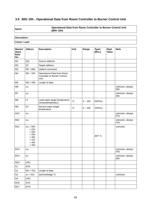# **3.5 B5h 10h - Operational Data from Room Controller to Burner Control Unit**

**Name: Operational Data from Room Controller to Burner Control Unit (B5h 10h)**

# **Description:**

| Master/<br><b>Slave</b><br>Byte-<br>No. | Abbrev.                                                                                   | <b>Description</b>                                                        | Unit              | Range     | <b>Type/</b><br>[Res.] | Repl.<br>Value | <b>Note</b>            |
|-----------------------------------------|-------------------------------------------------------------------------------------------|---------------------------------------------------------------------------|-------------------|-----------|------------------------|----------------|------------------------|
| M1                                      | QQ                                                                                        | Source address                                                            |                   |           |                        |                |                        |
| M <sub>2</sub>                          | ZZ                                                                                        | Target address                                                            |                   |           |                        |                |                        |
| M3                                      | $PB = B5h$                                                                                | Vaillant command                                                          |                   |           |                        |                |                        |
| M4                                      | $SB = 10h$                                                                                | Operational Data from Room<br><b>Controller to Burner Control</b><br>Unit |                   |           |                        |                |                        |
| M <sub>5</sub>                          | $NN = 09h$                                                                                | Length of data                                                            |                   |           |                        |                |                        |
| M <sub>6</sub>                          | XX <sub>1</sub>                                                                           |                                                                           |                   |           |                        |                | unknown, always<br>00h |
| M7                                      | XX <sub>2</sub>                                                                           |                                                                           |                   |           |                        |                | unknown, always<br>00h |
| M8                                      | LT                                                                                        | Lead water target temperature<br>(Vorlauftemperatur)                      | $^{\circ}C$       | $0 - 100$ | DATA1c                 |                |                        |
| M9                                      | <b>ST</b>                                                                                 | Service water target<br>temperature                                       | $^{\circ}{\rm C}$ | $0 - 100$ | DATA1c                 |                |                        |
| M10                                     | XX <sub>3</sub>                                                                           |                                                                           |                   |           |                        |                | unknown, always<br>FFh |
| M11                                     | XX <sub>4</sub>                                                                           |                                                                           |                   |           |                        |                | unknown, always<br>FFh |
| M12                                     | $xx_5 = 00h$<br>$= 01h$<br>$= 04h$<br>$= 05h$<br>$= 40h$<br>$= 41h$<br>$= 44h$<br>$= 45h$ |                                                                           |                   |           | (BIT ?)                |                | unknown                |
| M13                                     | $XX_6$                                                                                    |                                                                           |                   |           |                        |                | unknown, always<br>FFh |
| M14                                     | XX <sub>7</sub>                                                                           |                                                                           |                   |           |                        |                | unknown, always<br>00h |
| M15                                     | <b>CRC</b>                                                                                |                                                                           |                   |           |                        |                |                        |
| S1                                      | ${\sf ACK}$                                                                               |                                                                           |                   |           |                        |                |                        |
| S <sub>2</sub>                          | $NN = 01h$                                                                                | Length of data                                                            |                   |           |                        |                |                        |
| S <sub>3</sub>                          | $zz = 01h$                                                                                | (acknowledge ?)                                                           |                   |           |                        |                | unknown                |
| S4                                      | CRC                                                                                       |                                                                           |                   |           |                        |                |                        |
| M16                                     | <b>ACK</b>                                                                                |                                                                           |                   |           |                        |                |                        |
| M17                                     | <b>SYN</b>                                                                                |                                                                           |                   |           |                        |                |                        |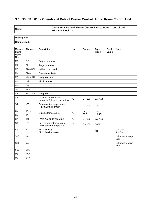# **3.6 B5h 11h 01h - Operational Data of Burner Control Unit to Room Control Unit**

**Name: Operational Data of Burner Control Unit to Room Control Unit (B5h 11h Block 1)**

# **Description:**

| <b>Master/</b><br><b>Slave</b><br>Byte-<br>No. | Abbrev.         | <b>Description</b>                                      | Unit            | Range     | <b>Type/</b><br>[Res.] | Repl.<br>Value | <b>Note</b>            |
|------------------------------------------------|-----------------|---------------------------------------------------------|-----------------|-----------|------------------------|----------------|------------------------|
| M1                                             | QQ              | Source address                                          |                 |           |                        |                |                        |
| M <sub>2</sub>                                 | ZZ              | Target address                                          |                 |           |                        |                |                        |
| M <sub>3</sub>                                 | $PB = B5h$      | Vaillant command                                        |                 |           |                        |                |                        |
| M <sub>4</sub>                                 | $SB = 11h$      | <b>Operational Data</b>                                 |                 |           |                        |                |                        |
| M <sub>5</sub>                                 | $NN = 01h$      | Length of data                                          |                 |           |                        |                |                        |
| M <sub>6</sub>                                 | 01h             | <b>Block number</b>                                     |                 |           |                        |                |                        |
| M7                                             | <b>CRC</b>      |                                                         |                 |           |                        |                |                        |
| S <sub>1</sub>                                 | <b>ACK</b>      |                                                         |                 |           |                        |                |                        |
| S <sub>2</sub>                                 | $NN = 09h$      | Length of data                                          |                 |           |                        |                |                        |
| S <sub>3</sub>                                 | <b>VT</b>       | Lead water temperature<br>(Vorlauf-/ Anlagentemperatur) | $^{\circ}C$     | $0 - 100$ | DATA1c                 |                |                        |
| S4                                             | <b>NT</b>       | Return water temperature<br>(Nachlauftemperatur)        | $^{\circ}C$     | $0 - 100$ | DATA1c                 |                |                        |
| S <sub>5</sub>                                 | TA_L            |                                                         | $^{\circ}C$     | $-50,0 -$ | DATA2b                 |                |                        |
| S <sub>6</sub>                                 | TA H            | Outside temperature                                     |                 | 50,0      | [1/256]                |                |                        |
| S7                                             | <b>WT</b>       | (WW-Auslauftemperatur)                                  | $\rm ^{\circ}C$ | $0 - 100$ | DATA1c                 |                |                        |
| S <sub>8</sub>                                 | <b>ST</b>       | Service water temperature<br>(WW-Speichertemperatur)    | $^{\circ}C$     | $0 - 100$ | DATA1c                 |                |                        |
| S9                                             | <b>VV</b>       | Bit 0: Heating<br>Bit 1: Service Water                  |                 |           | <b>BIT</b>             |                | $0 = OFF$<br>$1 = ON$  |
| S <sub>10</sub>                                | XX <sub>1</sub> |                                                         |                 |           |                        |                | unknown, always<br>00h |
| S <sub>11</sub>                                | XX <sub>2</sub> |                                                         |                 |           |                        |                | unknown, always<br>FFh |
| S <sub>12</sub>                                | <b>CRC</b>      |                                                         |                 |           |                        |                |                        |
| M <sub>8</sub>                                 | <b>ACK</b>      |                                                         |                 |           |                        |                |                        |
| M <sub>9</sub>                                 | <b>SYN</b>      |                                                         |                 |           |                        |                |                        |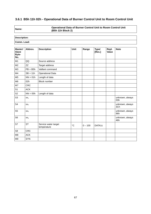# **3.6.1 B5h 11h 02h - Operational Data of Burner Control Unit to Room Control Unit**

**Name: Operational Data of Burner Control Unit to Room Control Unit (B5h 11h Block 2)**

# **Description: Comm. Load:**

| Master/<br><b>Slave</b><br>Byte-<br>No. | Abbrev.         | <b>Description</b>                  | <b>Unit</b> | Range     | <b>Type/</b><br>[Res.] | Repl.<br>Value | <b>Note</b>            |
|-----------------------------------------|-----------------|-------------------------------------|-------------|-----------|------------------------|----------------|------------------------|
| M1                                      | QQ              | Source address                      |             |           |                        |                |                        |
| M <sub>2</sub>                          | ZZ              | Target address                      |             |           |                        |                |                        |
| M <sub>3</sub>                          | $PB = B5h$      | Vaillant command                    |             |           |                        |                |                        |
| M4                                      | $SB = 11h$      | <b>Operational Data</b>             |             |           |                        |                |                        |
| M <sub>5</sub>                          | $NN = 01h$      | Length of data                      |             |           |                        |                |                        |
| M <sub>6</sub>                          | 02h             | <b>Block number</b>                 |             |           |                        |                |                        |
| M7                                      | <b>CRC</b>      |                                     |             |           |                        |                |                        |
| S1                                      | <b>ACK</b>      |                                     |             |           |                        |                |                        |
| S <sub>2</sub>                          | $NN = 05h$      | Length of data                      |             |           |                        |                |                        |
| S <sub>3</sub>                          | XX <sub>1</sub> |                                     |             |           |                        |                | unknown, always<br>03h |
| S <sub>4</sub>                          | XX <sub>2</sub> |                                     |             |           |                        |                | unknown, always<br>3Ch |
| S <sub>5</sub>                          | XX <sub>3</sub> |                                     |             |           |                        |                | unknown, always<br>96h |
| S <sub>6</sub>                          | XX <sub>4</sub> |                                     |             |           |                        |                | unknown, always<br>46h |
| S7                                      | <b>ST</b>       | Service water target<br>temperature | $^{\circ}C$ | $0 - 100$ | DATA1c                 |                |                        |
| S <sub>8</sub>                          | <b>CRC</b>      |                                     |             |           |                        |                |                        |
| M <sub>8</sub>                          | <b>ACK</b>      |                                     |             |           |                        |                |                        |
| M <sub>9</sub>                          | <b>SYN</b>      |                                     |             |           |                        |                |                        |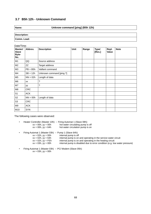## **3.7 B5h 12h - Unknown Command**

#### **Name: Unknow command [ping] (B5h 12h)**

**Description: Comm. Load:**

| Master/<br><b>Slave</b><br>Byte-<br>No. | Abbrev.    | <b>Description</b>       | Unit | Range | <b>Type/</b><br>[Res.] | Repl.<br>Value | <b>Note</b> |
|-----------------------------------------|------------|--------------------------|------|-------|------------------------|----------------|-------------|
| M1                                      | QQ         | Source address           |      |       |                        |                |             |
| M <sub>2</sub>                          | ZΖ         | Target address           |      |       |                        |                |             |
| ΜЗ                                      | $PB = B5h$ | Vaillant command         |      |       |                        |                |             |
| M4                                      | $SB = 12h$ | Unknown command [ping ?] |      |       |                        |                |             |
| M <sub>5</sub>                          | $NN = 02h$ | Length of data           |      |       |                        |                |             |
| M6                                      | XX         | ?                        |      |       |                        |                |             |
| M7                                      | уу         | ?                        |      |       |                        |                |             |
| M8                                      | <b>CRC</b> |                          |      |       |                        |                |             |
| S1                                      | <b>ACK</b> |                          |      |       |                        |                |             |
| S <sub>2</sub>                          | $NN = 00h$ | Length of data           |      |       |                        |                |             |
| S3                                      | <b>CRC</b> |                          |      |       |                        |                |             |
| M9                                      | <b>ACK</b> |                          |      |       |                        |                |             |
| M10                                     | <b>SYN</b> |                          |      |       |                        |                |             |

The following cases were observed:

- Heater Controller (Master 10h)  $\rightarrow$  Firing Automat 1 (Slave 08h):<br> $xx = 00h$ ,  $yy = 00h$  hot water circulating pump is  $xx = 00h$ ,  $yy = 00h$  hot water circulating pump is off  $xx = 00h$ ,  $yy = 64h$  hot water circulation pump is on hot water circulation pump is on
- Firing Automat 1 (Master 03h)  $\rightarrow$  Pump 1 (Slave 64h):<br> $xx = 02h$ ,  $yy = 00h$  internal pump is off  $xx = 02h$ ,  $yy = 00h$ <br> $xx = 02h$ ,  $yy = 64h$  $xx = 02h$ ,  $yy = 64h$  internal pump is on and operating in the service water circuit  $xx = 02h$ ,  $yy = FEh$  internal pump is on and operating in the heating circuit  $xx = 02h$ ,  $yy = FEh$  internal pump is on and operating in the heating circuit  $xx = 03h$ ,  $yy = 00h$  internal pump is disabled due to error condition (e.g. low internal pump is disabled due to error condition (e.g. low water pressure)
- Firing Automat 1 (Master 03h) → PC/ Modem (Slave 05h):  $xx = 03h$ ,  $yy = 00h$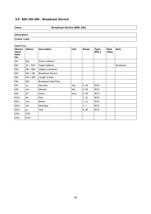# **3.8 B5h 16h 00h - Broadcast Service**

## **Name: Broadcast Service (B5h 16h)**

**Description: Comm. Load:**

| Date/Time:<br><b>Master/</b> | Abbrev.      | <b>Description</b>         | <b>Unit</b> |       |                        |                | <b>Note</b>      |
|------------------------------|--------------|----------------------------|-------------|-------|------------------------|----------------|------------------|
| <b>Slave</b><br>Byte-<br>No. |              |                            |             | Range | <b>Type/</b><br>[Res.] | Repl.<br>Value |                  |
| M1                           | QQ           | Source address             |             |       |                        |                |                  |
| M <sub>2</sub>               | $ZZ = F E h$ | Target address             |             |       |                        |                | <b>Broadcast</b> |
| M <sub>3</sub>               | $PB = B5h$   | Vaillant command           |             |       |                        |                |                  |
| M4                           | $SB = 16h$   | <b>Broadcast Service</b>   |             |       |                        |                |                  |
| M <sub>5</sub>               | $NN = 08h$   | Length of data             |             |       |                        |                |                  |
| M6                           | 00h          | <b>Broadcast Date/Time</b> |             |       |                        |                |                  |
| M7                           | SS           | Seconds                    | Sec         | 0.59  | <b>BCD</b>             |                |                  |
| M8                           | min          | <b>Minutes</b>             | <b>Min</b>  | 0.59  | <b>BCD</b>             |                |                  |
| M9                           | hh           | <b>Hours</b>               | Hour        | 0.59  | <b>BCD</b>             |                |                  |
| M10                          | dd           | Day                        |             | 1.31  | <b>BCD</b>             |                |                  |
| M11                          | mm           | Month                      |             | 1.12  | <b>BCD</b>             |                |                  |
| M12                          | <b>WW</b>    | Weekday                    |             | 17    | <b>BCD</b>             |                |                  |
| M13                          | уу           | Year                       |             | 0.99  | <b>BCD</b>             |                |                  |
| M14                          | <b>CRC</b>   |                            |             |       |                        |                |                  |
| M15                          | <b>SYN</b>   |                            |             |       |                        |                |                  |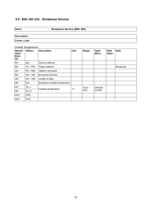# **3.9 B5h 16h 01h - Broadcast Service**

## **Name: Broadcast Service (B5h 16h)**

**Description: Comm. Load:**

Outside Temperature:

| <b>Master/</b><br><b>Slave</b><br>Byte-<br>No. | Abbrev.    | <b>Description</b>            | Unit        | Range     | <b>Type/</b><br>[Res.] | Repl.<br>Value | <b>Note</b>      |
|------------------------------------------------|------------|-------------------------------|-------------|-----------|------------------------|----------------|------------------|
| M1                                             | QQ         | Source address                |             |           |                        |                |                  |
| M <sub>2</sub>                                 | $ZZ = FEh$ | Target address                |             |           |                        |                | <b>Broadcast</b> |
| M3                                             | $PB = BBh$ | Vaillant command              |             |           |                        |                |                  |
| M4                                             | $SB = 16h$ | <b>Broadcast Service</b>      |             |           |                        |                |                  |
| M <sub>5</sub>                                 | $NN = 03h$ | Length of data                |             |           |                        |                |                  |
| M6                                             | 01h        | Broadcast outside temperature |             |           |                        |                |                  |
| M <sub>7</sub>                                 | TA_L       |                               | $^{\circ}C$ | $-50,0 -$ | DATA2b                 |                |                  |
| M8                                             | TA H       | Outside temperature           |             | 50,0      | $[1/256]$              |                |                  |
| M14                                            | <b>CRC</b> |                               |             |           |                        |                |                  |
| M15                                            | <b>SYN</b> |                               |             |           |                        |                |                  |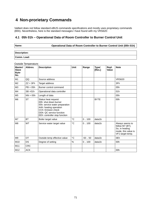# **4 Non-prorietary Commands**

Vaillant does not follow standard eBUS commands specifications and mostly uses proprietary commands (B5h). Nevertheless, here is the standard messages I have found with my VRS620:

#### **4.1 05h 01h – Operational Data of Room Controller to Burner Control Unit**

| ın<br>f.       |  |
|----------------|--|
| ×<br>. .<br>۰, |  |

**Name: Operational Data of Room Controller to Burner Control Unit (05h 01h)**

| <b>Description:</b> |  |
|---------------------|--|
| Comm. Load:         |  |

| Outside Temperature:                           |            |                                                                                                                                                                                              |              |          |                        |                       |                                                                                                 |  |
|------------------------------------------------|------------|----------------------------------------------------------------------------------------------------------------------------------------------------------------------------------------------|--------------|----------|------------------------|-----------------------|-------------------------------------------------------------------------------------------------|--|
| <b>Master/</b><br><b>Slave</b><br>Byte-<br>No. | Abbrev.    | <b>Description</b>                                                                                                                                                                           | <b>Unit</b>  | Range    | <b>Type/</b><br>[Res.] | Repl.<br><b>Value</b> | <b>Note</b>                                                                                     |  |
| M1                                             | QQ         | Source address                                                                                                                                                                               |              |          |                        |                       | <b>VRS620</b>                                                                                   |  |
| M <sub>2</sub>                                 | $ZZ = 3Fh$ | Target address                                                                                                                                                                               |              |          |                        |                       | 3Fh                                                                                             |  |
| M <sub>3</sub>                                 | $PB = 05h$ | Burner control command                                                                                                                                                                       |              |          |                        |                       | 05h                                                                                             |  |
| M <sub>4</sub>                                 | $SB = 01h$ | Operational data controller                                                                                                                                                                  |              |          |                        |                       | 01h                                                                                             |  |
| M <sub>5</sub>                                 | $NN = 05h$ | Length of data                                                                                                                                                                               |              |          |                        |                       | 05h                                                                                             |  |
| M <sub>6</sub>                                 | <b>ST</b>  | Status heat request:<br>00h: shut down burner<br>55h: service water preparation<br>AAh: heating operation<br>CCh: Emision check<br>DDh: QC service function<br>EEh: controller stop function |              |          | <b>BYTE</b>            |                       | 00h                                                                                             |  |
| M7                                             | <b>BT</b>  | Boiler target value                                                                                                                                                                          | °C           | 0.100    | data1b                 |                       |                                                                                                 |  |
| M <sub>8</sub>                                 | <b>WT</b>  | Service water target value                                                                                                                                                                   | $^{\circ}$ C | 0.100    | data1b                 |                       | Always seems to<br>follow M7 (BT).<br>So, in heating<br>mode, this value is<br>VF1 target temp. |  |
| M <sub>9</sub>                                 | <b>OT</b>  | Outside temp effective value                                                                                                                                                                 | $^{\circ}C$  | $-50.50$ | data1b                 |                       | 0Eh                                                                                             |  |
| M10                                            | <b>DS</b>  | Degree of setting                                                                                                                                                                            | %            | 0.100    | data1b                 |                       | 00h                                                                                             |  |
| M11                                            | <b>CRC</b> |                                                                                                                                                                                              |              |          |                        |                       |                                                                                                 |  |
| M12                                            | <b>ACK</b> |                                                                                                                                                                                              |              |          |                        |                       | 00h                                                                                             |  |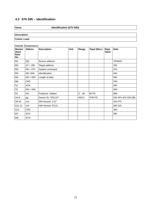# **4.2 07h 04h – Identification**

**Name: Identification (07h 04h)**

**Description: Comm. Load:**

#### Outside Temperature:

| Master/<br><b>Slave</b><br>Byte-<br>No. | Abbrey.     | <b>Description</b> | <b>Unit</b> | Range        | Type/ [Res.] | Repl.<br>Value | <b>Note</b>         |
|-----------------------------------------|-------------|--------------------|-------------|--------------|--------------|----------------|---------------------|
| M1                                      | QQ          | Source address     |             |              |              |                | <b>VRS620</b>       |
| M <sub>2</sub>                          | $ZZ = 26h$  | Target address     |             |              |              |                | 26h                 |
| M3                                      | $PB = 07h$  | System command     |             |              |              |                | 07h                 |
| M4                                      | $SB = 04h$  | Identification     |             |              |              |                | 04h                 |
| M <sub>5</sub>                          | $NN = 00h$  | Length of data     |             |              |              |                | 00h                 |
| M6                                      | <b>CRC</b>  |                    |             |              |              |                | FAh                 |
| S1                                      | <b>ACK</b>  |                    |             |              |              |                | 00h                 |
| S <sub>2</sub>                          | $NN = 0$ Ah |                    |             |              |              |                | 0Ah                 |
| S <sub>3</sub>                          | HH          | Producer: Vaillant |             | 0.99         | <b>BYTE</b>  |                | B5h                 |
| $S4-8$                                  | gg          | Device ID: "SOLSY" |             | <b>ASCII</b> | 5*BYTE       |                | 53h 4Fh 4Ch 53h 59h |
| S9-10                                   | <b>VVS</b>  | SW-Version: 2.07   |             |              |              |                | 02h 07h             |
| S11-12                                  | vvh         | HW-Version: 63.01  |             |              |              |                | 63h 01h             |
| S <sub>13</sub>                         | <b>CRC</b>  |                    |             |              |              |                | 30h                 |
| M7                                      | <b>ACK</b>  |                    |             |              |              |                | 00h                 |
| M <sub>8</sub>                          | <b>SYN</b>  |                    |             |              |              |                |                     |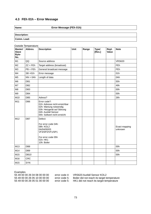## **4.3 FEh 01h – Error Message**

**Name: Error Message (FEh 01h)**

**Description: Comm. Load:**

| Master/<br><b>Slave</b><br>Byte-<br>No. | Abbrev.         | <b>Description</b>                                                                                                                                           | <b>Unit</b> | Range | <b>Type/</b><br>[Res.] | Repl.<br>Value | <b>Note</b>              |
|-----------------------------------------|-----------------|--------------------------------------------------------------------------------------------------------------------------------------------------------------|-------------|-------|------------------------|----------------|--------------------------|
| M1                                      | QQ              | Source address                                                                                                                                               |             |       |                        |                | <b>VRS620</b>            |
| M <sub>2</sub>                          | $ZZ = FEh$      | Target address (broadcast)                                                                                                                                   |             |       |                        |                | FEh                      |
| M3                                      | $PB = FEh$      | General broadcast message                                                                                                                                    |             |       |                        |                | FEh                      |
| M4                                      | $SB = 01h$      | Error message                                                                                                                                                |             |       |                        |                | 01h                      |
| M <sub>5</sub>                          | $NN = 0$ Ah     | Length of data                                                                                                                                               |             |       |                        |                | 0Ah                      |
| M <sub>6</sub>                          | DB1             |                                                                                                                                                              |             |       |                        |                | 55h                      |
| M7                                      | DB <sub>2</sub> |                                                                                                                                                              |             |       |                        |                | 49h                      |
| M <sub>8</sub>                          | DB <sub>3</sub> |                                                                                                                                                              |             |       |                        |                | 00h                      |
| M <sub>9</sub>                          | DB4             |                                                                                                                                                              |             |       |                        |                | 00h                      |
| M10                                     | DB <sub>5</sub> | Adress?                                                                                                                                                      |             |       |                        |                | 26h                      |
| M11                                     | DB <sub>6</sub> | Error code?:<br>01h: Adresse nicht erreichbar<br>02h: Wartung notwendig<br>03h: Heizgerät auf Störung<br>04h: Ausfall Sensor<br>05h: Sollwert nicht erreicht |             |       |                        |                |                          |
| M12                                     | DB7             | Defect:<br>For error code 04h:<br>08h: KOL2<br>0A/04/00/03<br>VF3/SP2/VF1/SP1<br>For error code 05h<br>01h: HK1<br>10h: Boiler                               |             |       |                        |                | Exact mapping<br>unknown |
| M13                                     | DB <sub>8</sub> |                                                                                                                                                              |             |       |                        |                | 00h                      |
| M14                                     | DB <sub>9</sub> |                                                                                                                                                              |             |       |                        |                | 00h                      |
| M15                                     | <b>DB10</b>     |                                                                                                                                                              |             |       |                        |                | 00h                      |
| M16                                     | <b>CRC</b>      |                                                                                                                                                              |             |       |                        |                |                          |
| M15                                     | <b>SYN</b>      |                                                                                                                                                              |             |       |                        |                |                          |

Outside Temperature:

Examples

55 49 00 00 26 04 08 00 00 00 error code 4: VRS620 Ausfall Sensor KOL2 55 49 00 00 26 05 10 00 00 00 error code 5: Boiler did not reach its target temperature<br>55 49 00 00 26 05 01 00 00 00 error code 5: HK1 did not reach its target temperature

HK1 did not reach its target temperature